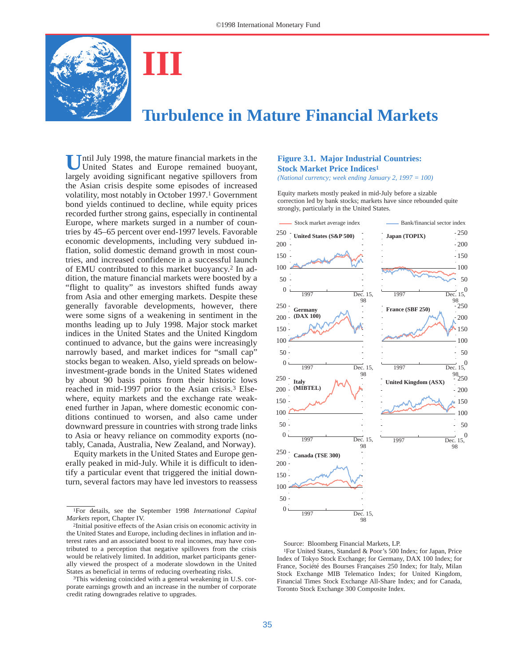

# **III**

# **Turbulence in Mature Financial Markets**

**U**ntil July 1998, the mature financial markets in the United States and Europe remained buoyant, largely avoiding significant negative spillovers from the Asian crisis despite some episodes of increased volatility, most notably in October 1997.1 Government bond yields continued to decline, while equity prices recorded further strong gains, especially in continental Europe, where markets surged in a number of countries by 45–65 percent over end-1997 levels. Favorable economic developments, including very subdued inflation, solid domestic demand growth in most countries, and increased confidence in a successful launch of EMU contributed to this market buoyancy.2 In addition, the mature financial markets were boosted by a "flight to quality" as investors shifted funds away from Asia and other emerging markets. Despite these generally favorable developments, however, there were some signs of a weakening in sentiment in the months leading up to July 1998. Major stock market indices in the United States and the United Kingdom continued to advance, but the gains were increasingly narrowly based, and market indices for "small cap" stocks began to weaken. Also, yield spreads on belowinvestment-grade bonds in the United States widened by about 90 basis points from their historic lows reached in mid-1997 prior to the Asian crisis.3 Elsewhere, equity markets and the exchange rate weakened further in Japan, where domestic economic conditions continued to worsen, and also came under downward pressure in countries with strong trade links to Asia or heavy reliance on commodity exports (notably, Canada, Australia, New Zealand, and Norway).

Equity markets in the United States and Europe generally peaked in mid-July. While it is difficult to identify a particular event that triggered the initial downturn, several factors may have led investors to reassess

porate earnings growth and an increase in the number of corporate credit rating downgrades relative to upgrades.

#### **Figure 3.1. Major Industrial Countries: Stock Market Price Indices1**

*(National currency; week ending January 2, 1997 = 100)*

Equity markets mostly peaked in mid-July before a sizable correction led by bank stocks; markets have since rebounded quite strongly, particularly in the United States.





1For United States, Standard & Poor's 500 Index; for Japan, Price Index of Tokyo Stock Exchange; for Germany, DAX 100 Index; for France, Société des Bourses Françaises 250 Index; for Italy, Milan Stock Exchange MIB Telematico Index; for United Kingdom, Financial Times Stock Exchange All-Share Index; and for Canada, Toronto Stock Exchange 300 Composite Index.

<sup>1</sup>For details, see the September 1998 *International Capital Markets* report, Chapter IV.

<sup>2</sup>Initial positive effects of the Asian crisis on economic activity in the United States and Europe, including declines in inflation and interest rates and an associated boost to real incomes, may have contributed to a perception that negative spillovers from the crisis would be relatively limited. In addition, market participants generally viewed the prospect of a moderate slowdown in the United States as beneficial in terms of reducing overheating risks. 3This widening coincided with a general weakening in U.S. cor-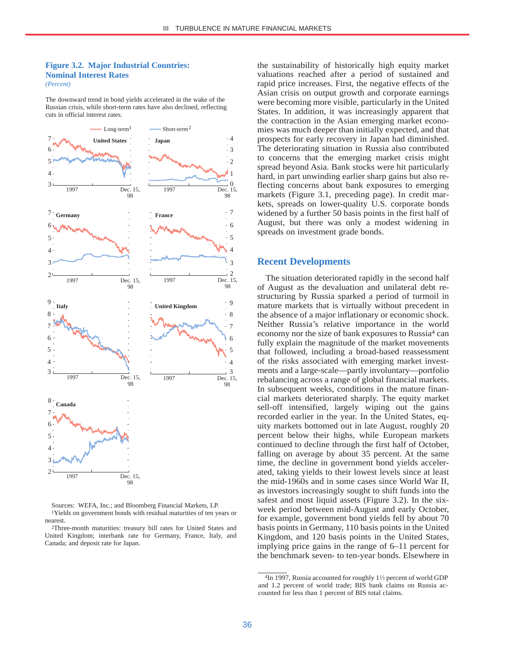# **Figure 3.2. Major Industrial Countries: Nominal Interest Rates**

*(Percent)*

The downward trend in bond yields accelerated in the wake of the Russian crisis, while short-term rates have also declined, reflecting cuts in official interest rates.



Sources: WEFA, Inc.; and Bloomberg Financial Markets, LP. 1Yields on government bonds with residual maturities of ten years or nearest.

2Three-month maturities: treasury bill rates for United States and United Kingdom; interbank rate for Germany, France, Italy, and Canada; and deposit rate for Japan.

the sustainability of historically high equity market valuations reached after a period of sustained and rapid price increases. First, the negative effects of the Asian crisis on output growth and corporate earnings were becoming more visible, particularly in the United States. In addition, it was increasingly apparent that the contraction in the Asian emerging market economies was much deeper than initially expected, and that prospects for early recovery in Japan had diminished. The deteriorating situation in Russia also contributed to concerns that the emerging market crisis might spread beyond Asia. Bank stocks were hit particularly hard, in part unwinding earlier sharp gains but also reflecting concerns about bank exposures to emerging markets (Figure 3.1, preceding page). In credit markets, spreads on lower-quality U.S. corporate bonds widened by a further 50 basis points in the first half of August, but there was only a modest widening in spreads on investment grade bonds.

#### **Recent Developments**

The situation deteriorated rapidly in the second half of August as the devaluation and unilateral debt restructuring by Russia sparked a period of turmoil in mature markets that is virtually without precedent in the absence of a major inflationary or economic shock. Neither Russia's relative importance in the world economy nor the size of bank exposures to Russia4 can fully explain the magnitude of the market movements that followed, including a broad-based reassessment of the risks associated with emerging market investments and a large-scale—partly involuntary—portfolio rebalancing across a range of global financial markets. In subsequent weeks, conditions in the mature financial markets deteriorated sharply. The equity market sell-off intensified, largely wiping out the gains recorded earlier in the year. In the United States, equity markets bottomed out in late August, roughly 20 percent below their highs, while European markets continued to decline through the first half of October, falling on average by about 35 percent. At the same time, the decline in government bond yields accelerated, taking yields to their lowest levels since at least the mid-1960s and in some cases since World War II, as investors increasingly sought to shift funds into the safest and most liquid assets (Figure 3.2). In the sixweek period between mid-August and early October, for example, government bond yields fell by about 70 basis points in Germany, 110 basis points in the United Kingdom, and 120 basis points in the United States, implying price gains in the range of 6–11 percent for the benchmark seven- to ten-year bonds. Elsewhere in

<sup>4</sup>In 1997, Russia accounted for roughly 11/2 percent of world GDP and 1.2 percent of world trade; BIS bank claims on Russia accounted for less than 1 percent of BIS total claims.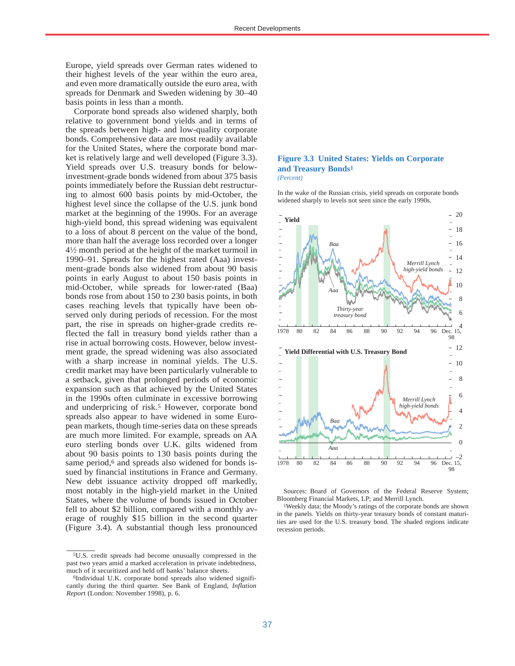Europe, yield spreads over German rates widened to their highest levels of the year within the euro area, and even more dramatically outside the euro area, with spreads for Denmark and Sweden widening by 30–40 basis points in less than a month.

Corporate bond spreads also widened sharply, both relative to government bond yields and in terms of the spreads between high- and low-quality corporate bonds. Comprehensive data are most readily available for the United States, where the corporate bond market is relatively large and well developed (Figure 3.3). Yield spreads over U.S. treasury bonds for belowinvestment-grade bonds widened from about 375 basis points immediately before the Russian debt restructuring to almost 600 basis points by mid-October, the highest level since the collapse of the U.S. junk bond market at the beginning of the 1990s. For an average high-yield bond, this spread widening was equivalent to a loss of about 8 percent on the value of the bond, more than half the average loss recorded over a longer  $4\frac{1}{2}$  month period at the height of the market turmoil in 1990–91. Spreads for the highest rated (Aaa) investment-grade bonds also widened from about 90 basis points in early August to about 150 basis points in mid-October, while spreads for lower-rated (Baa) bonds rose from about 150 to 230 basis points, in both cases reaching levels that typically have been observed only during periods of recession. For the most part, the rise in spreads on higher-grade credits reflected the fall in treasury bond yields rather than a rise in actual borrowing costs. However, below investment grade, the spread widening was also associated with a sharp increase in nominal yields. The U.S. credit market may have been particularly vulnerable to a setback, given that prolonged periods of economic expansion such as that achieved by the United States in the 1990s often culminate in excessive borrowing and underpricing of risk.<sup>5</sup> However, corporate bond spreads also appear to have widened in some European markets, though time-series data on these spreads are much more limited. For example, spreads on AA euro sterling bonds over U.K. gilts widened from about 90 basis points to 130 basis points during the same period,<sup>6</sup> and spreads also widened for bonds issued by financial institutions in France and Germany. New debt issuance activity dropped off markedly, most notably in the high-yield market in the United States, where the volume of bonds issued in October fell to about \$2 billion, compared with a monthly average of roughly \$15 billion in the second quarter (Figure 3.4). A substantial though less pronounced

#### **Figure 3.3 United States: Yields on Corporate and Treasury Bonds1** *(Percent)*

In the wake of the Russian crisis, yield spreads on corporate bonds widened sharply to levels not seen since the early 1990s.



Sources: Board of Governors of the Federal Reserve System; Bloomberg Financial Markets, LP; and Merrill Lynch.

<sup>5</sup>U.S. credit spreads had become unusually compressed in the past two years amid a marked acceleration in private indebtedness, much of it securitized and held off banks' balance sheets.

<sup>6</sup>Individual U.K. corporate bond spreads also widened significantly during the third quarter. See Bank of England, *Inflation Repor*t (London: November 1998), p. 6.

<sup>1</sup>Weekly data; the Moody's ratings of the corporate bonds are shown in the panels. Yields on thirty-year treasury bonds of constant maturities are used for the U.S. treasury bond. The shaded regions indicate recession periods.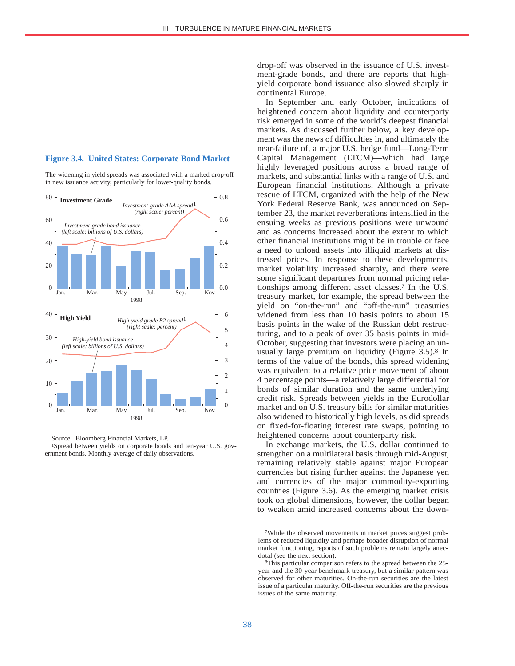#### **Figure 3.4. United States: Corporate Bond Market**

The widening in yield spreads was associated with a marked drop-off in new issuance activity, particularly for lower-quality bonds.



Source: Bloomberg Financial Markets, LP.

1Spread between yields on corporate bonds and ten-year U.S. government bonds. Monthly average of daily observations.

drop-off was observed in the issuance of U.S. investment-grade bonds, and there are reports that highyield corporate bond issuance also slowed sharply in continental Europe.

In September and early October, indications of heightened concern about liquidity and counterparty risk emerged in some of the world's deepest financial markets. As discussed further below, a key development was the news of difficulties in, and ultimately the near-failure of, a major U.S. hedge fund—Long-Term Capital Management (LTCM)—which had large highly leveraged positions across a broad range of markets, and substantial links with a range of U.S. and European financial institutions. Although a private rescue of LTCM, organized with the help of the New York Federal Reserve Bank, was announced on September 23, the market reverberations intensified in the ensuing weeks as previous positions were unwound and as concerns increased about the extent to which other financial institutions might be in trouble or face a need to unload assets into illiquid markets at distressed prices. In response to these developments, market volatility increased sharply, and there were some significant departures from normal pricing relationships among different asset classes.7 In the U.S. treasury market, for example, the spread between the yield on "on-the-run" and "off-the-run" treasuries widened from less than 10 basis points to about 15 basis points in the wake of the Russian debt restructuring, and to a peak of over 35 basis points in mid-October, suggesting that investors were placing an unusually large premium on liquidity (Figure 3.5).8 In terms of the value of the bonds, this spread widening was equivalent to a relative price movement of about 4 percentage points—a relatively large differential for bonds of similar duration and the same underlying credit risk. Spreads between yields in the Eurodollar market and on U.S. treasury bills for similar maturities also widened to historically high levels, as did spreads on fixed-for-floating interest rate swaps, pointing to heightened concerns about counterparty risk.

In exchange markets, the U.S. dollar continued to strengthen on a multilateral basis through mid-August, remaining relatively stable against major European currencies but rising further against the Japanese yen and currencies of the major commodity-exporting countries (Figure 3.6). As the emerging market crisis took on global dimensions, however, the dollar began to weaken amid increased concerns about the down-

<sup>7</sup>While the observed movements in market prices suggest problems of reduced liquidity and perhaps broader disruption of normal market functioning, reports of such problems remain largely anec-<br>dotal (see the next section).

 $8$ This particular comparison refers to the spread between the 25year and the 30-year benchmark treasury, but a similar pattern was observed for other maturities. On-the-run securities are the latest issue of a particular maturity. Off-the-run securities are the previous issues of the same maturity.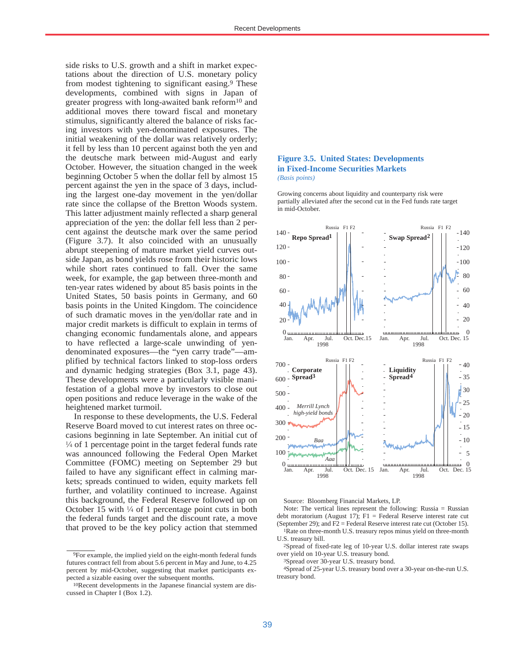side risks to U.S. growth and a shift in market expectations about the direction of U.S. monetary policy from modest tightening to significant easing.9 These developments, combined with signs in Japan of greater progress with long-awaited bank reform<sup>10</sup> and additional moves there toward fiscal and monetary stimulus, significantly altered the balance of risks facing investors with yen-denominated exposures. The initial weakening of the dollar was relatively orderly; it fell by less than 10 percent against both the yen and the deutsche mark between mid-August and early October. However, the situation changed in the week beginning October 5 when the dollar fell by almost 15 percent against the yen in the space of 3 days, including the largest one-day movement in the yen/dollar rate since the collapse of the Bretton Woods system. This latter adjustment mainly reflected a sharp general appreciation of the yen: the dollar fell less than 2 percent against the deutsche mark over the same period (Figure 3.7). It also coincided with an unusually abrupt steepening of mature market yield curves outside Japan, as bond yields rose from their historic lows while short rates continued to fall. Over the same week, for example, the gap between three-month and ten-year rates widened by about 85 basis points in the United States, 50 basis points in Germany, and 60 basis points in the United Kingdom. The coincidence of such dramatic moves in the yen/dollar rate and in major credit markets is difficult to explain in terms of changing economic fundamentals alone, and appears to have reflected a large-scale unwinding of yendenominated exposures—the "yen carry trade"—amplified by technical factors linked to stop-loss orders and dynamic hedging strategies (Box 3.1, page 43). These developments were a particularly visible manifestation of a global move by investors to close out open positions and reduce leverage in the wake of the heightened market turmoil.

In response to these developments, the U.S. Federal Reserve Board moved to cut interest rates on three occasions beginning in late September. An initial cut of !/4 of 1 percentage point in the target federal funds rate was announced following the Federal Open Market Committee (FOMC) meeting on September 29 but failed to have any significant effect in calming markets; spreads continued to widen, equity markets fell further, and volatility continued to increase. Against this background, the Federal Reserve followed up on October 15 with  $\frac{1}{4}$  of 1 percentage point cuts in both the federal funds target and the discount rate, a move that proved to be the key policy action that stemmed

#### **Figure 3.5. United States: Developments in Fixed-Income Securities Markets** *(Basis points)*

Growing concerns about liquidity and counterparty risk were partially alleviated after the second cut in the Fed funds rate target in mid-October.



Source: Bloomberg Financial Markets, LP.

Note: The vertical lines represent the following: Russia = Russian debt moratorium (August 17); F1 = Federal Reserve interest rate cut (September 29); and F2 = Federal Reserve interest rate cut (October 15). 1Rate on three-month U.S. treasury repos minus yield on three-month U.S. treasury bill.

2Spread of fixed-rate leg of 10-year U.S. dollar interest rate swaps over yield on 10-year U.S. treasury bond.

3Spread over 30-year U.S. treasury bond.

4Spread of 25-year U.S. treasury bond over a 30-year on-the-run U.S. treasury bond.

<sup>9</sup>For example, the implied yield on the eight-month federal funds futures contract fell from about 5.6 percent in May and June, to 4.25 percent by mid-October, suggesting that market participants expected a sizable easing over the subsequent months.

<sup>10</sup>Recent developments in the Japanese financial system are discussed in Chapter I (Box 1.2).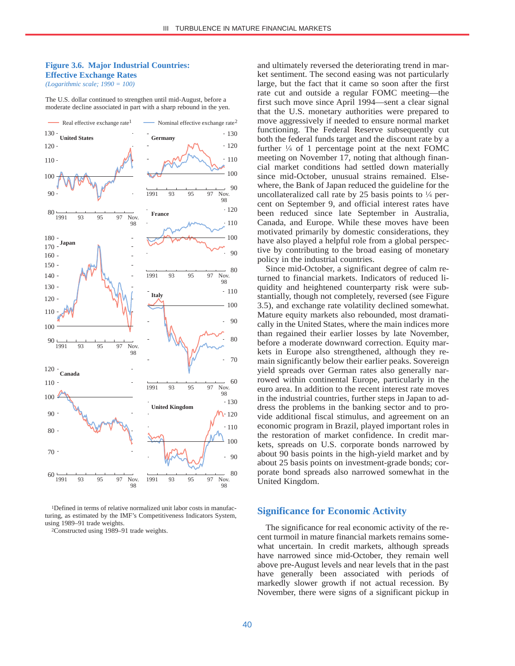# **Figure 3.6. Major Industrial Countries: Effective Exchange Rates**

*(Logarithmic scale; 1990 = 100)*

The U.S. dollar continued to strengthen until mid-August, before a moderate decline associated in part with a sharp rebound in the yen.



1Defined in terms of relative normalized unit labor costs in manufacturing, as estimated by the IMF's Competitiveness Indicators System, using 1989–91 trade weights.

2Constructed using 1989–91 trade weights.

and ultimately reversed the deteriorating trend in market sentiment. The second easing was not particularly large, but the fact that it came so soon after the first rate cut and outside a regular FOMC meeting—the first such move since April 1994—sent a clear signal that the U.S. monetary authorities were prepared to move aggressively if needed to ensure normal market functioning. The Federal Reserve subsequently cut both the federal funds target and the discount rate by a further  $\frac{1}{4}$  of 1 percentage point at the next FOMC meeting on November 17, noting that although financial market conditions had settled down materially since mid-October, unusual strains remained. Elsewhere, the Bank of Japan reduced the guideline for the uncollateralized call rate by 25 basis points to  $\frac{1}{4}$  percent on September 9, and official interest rates have been reduced since late September in Australia, Canada, and Europe. While these moves have been motivated primarily by domestic considerations, they have also played a helpful role from a global perspective by contributing to the broad easing of monetary policy in the industrial countries.

Since mid-October, a significant degree of calm returned to financial markets. Indicators of reduced liquidity and heightened counterparty risk were substantially, though not completely, reversed (see Figure 3.5), and exchange rate volatility declined somewhat. Mature equity markets also rebounded, most dramatically in the United States, where the main indices more than regained their earlier losses by late November, before a moderate downward correction. Equity markets in Europe also strengthened, although they remain significantly below their earlier peaks. Sovereign yield spreads over German rates also generally narrowed within continental Europe, particularly in the euro area. In addition to the recent interest rate moves in the industrial countries, further steps in Japan to address the problems in the banking sector and to provide additional fiscal stimulus, and agreement on an economic program in Brazil, played important roles in the restoration of market confidence. In credit markets, spreads on U.S. corporate bonds narrowed by about 90 basis points in the high-yield market and by about 25 basis points on investment-grade bonds; corporate bond spreads also narrowed somewhat in the United Kingdom.

#### **Significance for Economic Activity**

The significance for real economic activity of the recent turmoil in mature financial markets remains somewhat uncertain. In credit markets, although spreads have narrowed since mid-October, they remain well above pre-August levels and near levels that in the past have generally been associated with periods of markedly slower growth if not actual recession. By November, there were signs of a significant pickup in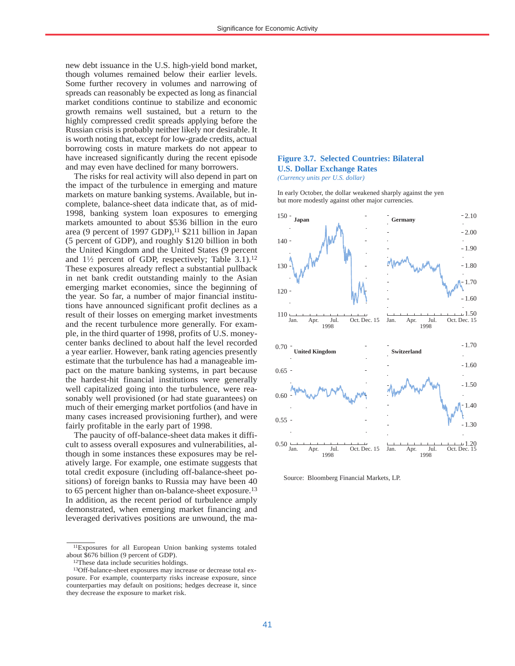new debt issuance in the U.S. high-yield bond market, though volumes remained below their earlier levels. Some further recovery in volumes and narrowing of spreads can reasonably be expected as long as financial market conditions continue to stabilize and economic growth remains well sustained, but a return to the highly compressed credit spreads applying before the Russian crisis is probably neither likely nor desirable. It is worth noting that, except for low-grade credits, actual borrowing costs in mature markets do not appear to have increased significantly during the recent episode and may even have declined for many borrowers.

The risks for real activity will also depend in part on the impact of the turbulence in emerging and mature markets on mature banking systems. Available, but incomplete, balance-sheet data indicate that, as of mid-1998, banking system loan exposures to emerging markets amounted to about \$536 billion in the euro area (9 percent of 1997 GDP),<sup>11</sup> \$211 billion in Japan (5 percent of GDP), and roughly \$120 billion in both the United Kingdom and the United States (9 percent and  $1\frac{1}{2}$  percent of GDP, respectively; Table 3.1).<sup>12</sup> These exposures already reflect a substantial pullback in net bank credit outstanding mainly to the Asian emerging market economies, since the beginning of the year. So far, a number of major financial institutions have announced significant profit declines as a result of their losses on emerging market investments and the recent turbulence more generally. For example, in the third quarter of 1998, profits of U.S. moneycenter banks declined to about half the level recorded a year earlier. However, bank rating agencies presently estimate that the turbulence has had a manageable impact on the mature banking systems, in part because the hardest-hit financial institutions were generally well capitalized going into the turbulence, were reasonably well provisioned (or had state guarantees) on much of their emerging market portfolios (and have in many cases increased provisioning further), and were fairly profitable in the early part of 1998.

The paucity of off-balance-sheet data makes it difficult to assess overall exposures and vulnerabilities, although in some instances these exposures may be relatively large. For example, one estimate suggests that total credit exposure (including off-balance-sheet positions) of foreign banks to Russia may have been 40 to 65 percent higher than on-balance-sheet exposure.13 In addition, as the recent period of turbulence amply demonstrated, when emerging market financing and leveraged derivatives positions are unwound, the ma-

# **Figure 3.7. Selected Countries: Bilateral U.S. Dollar Exchange Rates**

*(Currency units per U.S. dollar)*

In early October, the dollar weakened sharply against the yen but more modestly against other major currencies.



Source: Bloomberg Financial Markets, LP.

<sup>11</sup>Exposures for all European Union banking systems totaled about \$676 billion (9 percent of GDP).

<sup>12</sup>These data include securities holdings.

<sup>13</sup>Off-balance-sheet exposures may increase or decrease total exposure. For example, counterparty risks increase exposure, since counterparties may default on positions; hedges decrease it, since they decrease the exposure to market risk.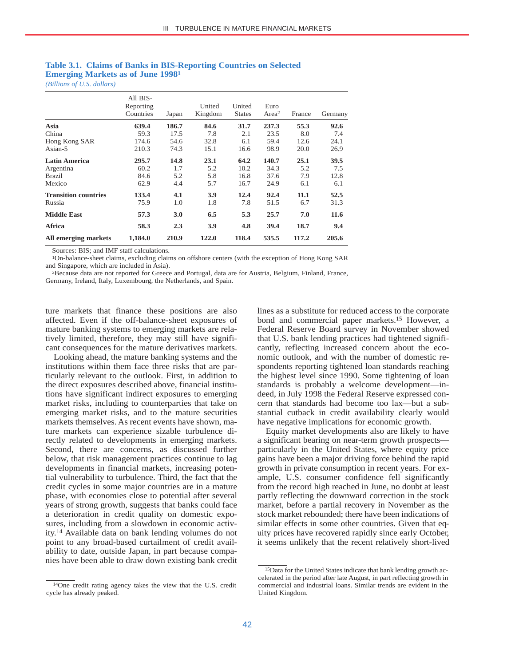|                            |                                                      | Table 3.1. Claims of Banks in BIS-Reporting Countries on Selected |  |
|----------------------------|------------------------------------------------------|-------------------------------------------------------------------|--|
|                            | <b>Emerging Markets as of June 1998</b> <sup>1</sup> |                                                                   |  |
| (Rillione of II S. dollar) |                                                      |                                                                   |  |

*(Billions of U.S. dollars)*

|                             | All BIS-<br>Reporting<br>Countries | Japan | United<br>Kingdom | United<br><b>States</b> | Euro<br>Area <sup>2</sup> | France | Germany |
|-----------------------------|------------------------------------|-------|-------------------|-------------------------|---------------------------|--------|---------|
| Asia                        | 639.4                              | 186.7 | 84.6              | 31.7                    | 237.3                     | 55.3   | 92.6    |
| China                       | 59.3                               | 17.5  | 7.8               | 2.1                     | 23.5                      | 8.0    | 7.4     |
| Hong Kong SAR               | 174.6                              | 54.6  | 32.8              | 6.1                     | 59.4                      | 12.6   | 24.1    |
| Asian-5                     | 210.3                              | 74.3  | 15.1              | 16.6                    | 98.9                      | 20.0   | 26.9    |
| <b>Latin America</b>        | 295.7                              | 14.8  | 23.1              | 64.2                    | 140.7                     | 25.1   | 39.5    |
| Argentina                   | 60.2                               | 1.7   | 5.2               | 10.2                    | 34.3                      | 5.2    | 7.5     |
| <b>Brazil</b>               | 84.6                               | 5.2   | 5.8               | 16.8                    | 37.6                      | 7.9    | 12.8    |
| Mexico                      | 62.9                               | 4.4   | 5.7               | 16.7                    | 24.9                      | 6.1    | 6.1     |
| <b>Transition countries</b> | 133.4                              | 4.1   | 3.9               | 12.4                    | 92.4                      | 11.1   | 52.5    |
| Russia                      | 75.9                               | 1.0   | 1.8               | 7.8                     | 51.5                      | 6.7    | 31.3    |
| <b>Middle East</b>          | 57.3                               | 3.0   | 6.5               | 5.3                     | 25.7                      | 7.0    | 11.6    |
| <b>Africa</b>               | 58.3                               | 2.3   | 3.9               | 4.8                     | 39.4                      | 18.7   | 9.4     |
| All emerging markets        | 1,184.0                            | 210.9 | 122.0             | 118.4                   | 535.5                     | 117.2  | 205.6   |

Sources: BIS; and IMF staff calculations.

1On-balance-sheet claims, excluding claims on offshore centers (with the exception of Hong Kong SAR and Singapore, which are included in Asia).

2Because data are not reported for Greece and Portugal, data are for Austria, Belgium, Finland, France, Germany, Ireland, Italy, Luxembourg, the Netherlands, and Spain.

ture markets that finance these positions are also affected. Even if the off-balance-sheet exposures of mature banking systems to emerging markets are relatively limited, therefore, they may still have significant consequences for the mature derivatives markets.

Looking ahead, the mature banking systems and the institutions within them face three risks that are particularly relevant to the outlook. First, in addition to the direct exposures described above, financial institutions have significant indirect exposures to emerging market risks, including to counterparties that take on emerging market risks, and to the mature securities markets themselves. As recent events have shown, mature markets can experience sizable turbulence directly related to developments in emerging markets. Second, there are concerns, as discussed further below, that risk management practices continue to lag developments in financial markets, increasing potential vulnerability to turbulence. Third, the fact that the credit cycles in some major countries are in a mature phase, with economies close to potential after several years of strong growth, suggests that banks could face a deterioration in credit quality on domestic exposures, including from a slowdown in economic activity.14 Available data on bank lending volumes do not point to any broad-based curtailment of credit availability to date, outside Japan, in part because companies have been able to draw down existing bank credit

14One credit rating agency takes the view that the U.S. credit cycle has already peaked.

lines as a substitute for reduced access to the corporate bond and commercial paper markets.15 However, a Federal Reserve Board survey in November showed that U.S. bank lending practices had tightened significantly, reflecting increased concern about the economic outlook, and with the number of domestic respondents reporting tightened loan standards reaching the highest level since 1990. Some tightening of loan standards is probably a welcome development—indeed, in July 1998 the Federal Reserve expressed concern that standards had become too lax—but a substantial cutback in credit availability clearly would have negative implications for economic growth.

Equity market developments also are likely to have a significant bearing on near-term growth prospects particularly in the United States, where equity price gains have been a major driving force behind the rapid growth in private consumption in recent years. For example, U.S. consumer confidence fell significantly from the record high reached in June, no doubt at least partly reflecting the downward correction in the stock market, before a partial recovery in November as the stock market rebounded; there have been indications of similar effects in some other countries. Given that equity prices have recovered rapidly since early October, it seems unlikely that the recent relatively short-lived

<sup>15</sup>Data for the United States indicate that bank lending growth accelerated in the period after late August, in part reflecting growth in commercial and industrial loans. Similar trends are evident in the United Kingdom.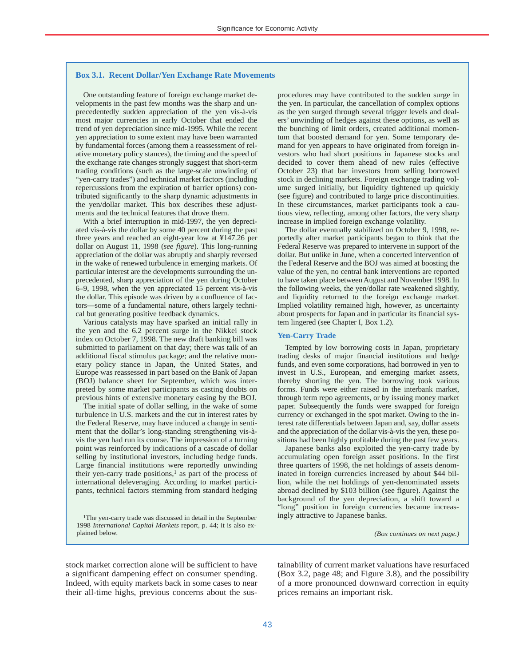#### **Box 3.1. Recent Dollar/Yen Exchange Rate Movements**

One outstanding feature of foreign exchange market developments in the past few months was the sharp and unprecedentedly sudden appreciation of the yen vis-à-vis most major currencies in early October that ended the trend of yen depreciation since mid-1995. While the recent yen appreciation to some extent may have been warranted by fundamental forces (among them a reassessment of relative monetary policy stances), the timing and the speed of the exchange rate changes strongly suggest that short-term trading conditions (such as the large-scale unwinding of "yen-carry trades") and technical market factors (including repercussions from the expiration of barrier options) contributed significantly to the sharp dynamic adjustments in the yen/dollar market. This box describes these adjustments and the technical features that drove them.

With a brief interruption in mid-1997, the yen depreciated vis-à-vis the dollar by some 40 percent during the past three years and reached an eight-year low at ¥147.26 per dollar on August 11, 1998 (*see figure*). This long-running appreciation of the dollar was abruptly and sharply reversed in the wake of renewed turbulence in emerging markets. Of particular interest are the developments surrounding the unprecedented, sharp appreciation of the yen during October 6–9, 1998, when the yen appreciated 15 percent vis-à-vis the dollar. This episode was driven by a confluence of factors—some of a fundamental nature, others largely technical but generating positive feedback dynamics.

Various catalysts may have sparked an initial rally in the yen and the 6.2 percent surge in the Nikkei stock index on October 7, 1998. The new draft banking bill was submitted to parliament on that day; there was talk of an additional fiscal stimulus package; and the relative monetary policy stance in Japan, the United States, and Europe was reassessed in part based on the Bank of Japan (BOJ) balance sheet for September, which was interpreted by some market participants as casting doubts on previous hints of extensive monetary easing by the BOJ.

The initial spate of dollar selling, in the wake of some turbulence in U.S. markets and the cut in interest rates by the Federal Reserve, may have induced a change in sentiment that the dollar's long-standing strengthening vis-àvis the yen had run its course. The impression of a turning point was reinforced by indications of a cascade of dollar selling by institutional investors, including hedge funds. Large financial institutions were reportedly unwinding their yen-carry trade positions, $<sup>1</sup>$  as part of the process of</sup> international deleveraging. According to market participants, technical factors stemming from standard hedging procedures may have contributed to the sudden surge in the yen. In particular, the cancellation of complex options as the yen surged through several trigger levels and dealers' unwinding of hedges against these options, as well as the bunching of limit orders, created additional momentum that boosted demand for yen. Some temporary demand for yen appears to have originated from foreign investors who had short positions in Japanese stocks and decided to cover them ahead of new rules (effective October 23) that bar investors from selling borrowed stock in declining markets. Foreign exchange trading volume surged initially, but liquidity tightened up quickly (see figure) and contributed to large price discontinuities. In these circumstances, market participants took a cautious view, reflecting, among other factors, the very sharp increase in implied foreign exchange volatility.

The dollar eventually stabilized on October 9, 1998, reportedly after market participants began to think that the Federal Reserve was prepared to intervene in support of the dollar. But unlike in June, when a concerted intervention of the Federal Reserve and the BOJ was aimed at boosting the value of the yen, no central bank interventions are reported to have taken place between August and November 1998. In the following weeks, the yen/dollar rate weakened slightly, and liquidity returned to the foreign exchange market. Implied volatility remained high, however, as uncertainty about prospects for Japan and in particular its financial system lingered (see Chapter I, Box 1.2).

#### **Yen-Carry Trade**

Tempted by low borrowing costs in Japan, proprietary trading desks of major financial institutions and hedge funds, and even some corporations, had borrowed in yen to invest in U.S., European, and emerging market assets, thereby shorting the yen. The borrowing took various forms. Funds were either raised in the interbank market, through term repo agreements, or by issuing money market paper. Subsequently the funds were swapped for foreign currency or exchanged in the spot market. Owing to the interest rate differentials between Japan and, say, dollar assets and the appreciation of the dollar vis-à-vis the yen, these positions had been highly profitable during the past few years.

Japanese banks also exploited the yen-carry trade by accumulating open foreign asset positions. In the first three quarters of 1998, the net holdings of assets denominated in foreign currencies increased by about \$44 billion, while the net holdings of yen-denominated assets abroad declined by \$103 billion (see figure). Against the background of the yen depreciation, a shift toward a "long" position in foreign currencies became increasingly attractive to Japanese banks.

*(Box continues on next page.)* 

stock market correction alone will be sufficient to have a significant dampening effect on consumer spending. Indeed, with equity markets back in some cases to near their all-time highs, previous concerns about the sustainability of current market valuations have resurfaced (Box 3.2, page 48; and Figure 3.8), and the possibility of a more pronounced downward correction in equity prices remains an important risk.

<sup>1</sup>The yen-carry trade was discussed in detail in the September 1998 *International Capital Markets* report, p. 44; it is also ex-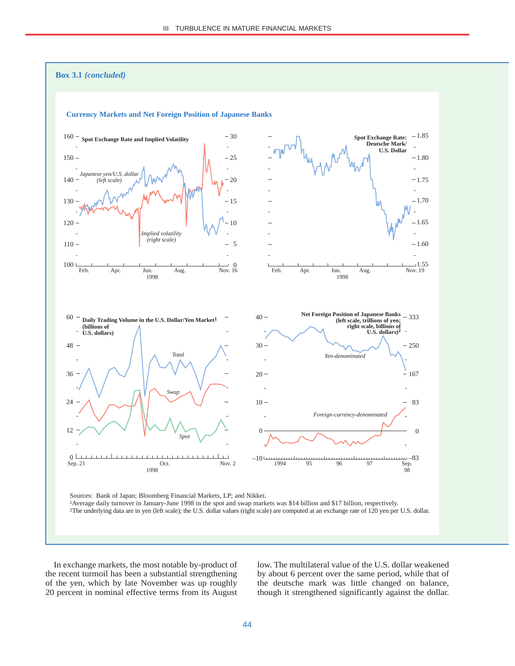



2The underlying data are in yen (left scale); the U.S. dollar values (right scale) are computed at an exchange rate of 120 yen per U.S. dollar.

In exchange markets, the most notable by-product of the recent turmoil has been a substantial strengthening of the yen, which by late November was up roughly 20 percent in nominal effective terms from its August low. The multilateral value of the U.S. dollar weakened by about 6 percent over the same period, while that of the deutsche mark was little changed on balance, though it strengthened significantly against the dollar.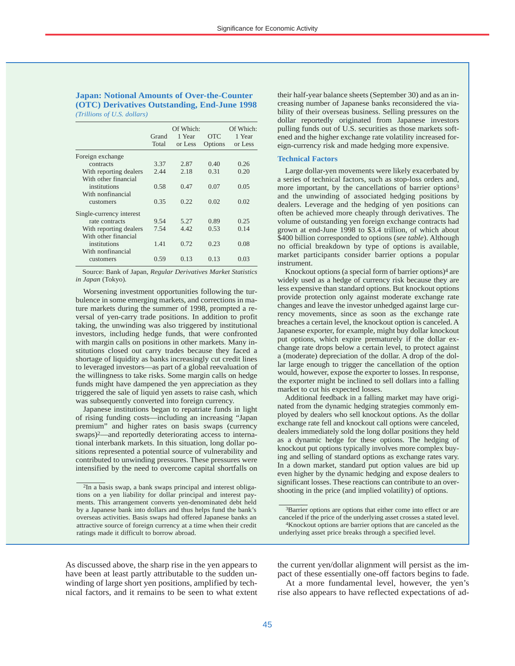#### **Japan: Notional Amounts of Over-the-Counter (OTC) Derivatives Outstanding, End-June 1998** *(Trillions of U.S. dollars)*

|                                                                        | Grand<br>Total | Of Which:<br>1 Year<br>or Less | OTC.<br>Options | Of Which:<br>1 Year<br>or Less |
|------------------------------------------------------------------------|----------------|--------------------------------|-----------------|--------------------------------|
| Foreign exchange                                                       |                |                                |                 |                                |
| contracts                                                              | 3.37           | 2.87                           | 0.40            | 0.26                           |
| With reporting dealers                                                 | 2.44           | 2.18                           | 0.31            | 0.20                           |
| With other financial<br>institutions<br>With nonfinancial<br>customers | 0.58<br>0.35   | 0.47<br>0.22                   | 0.07<br>0.02    | 0.05<br>0.02                   |
| Single-currency interest                                               |                |                                |                 |                                |
| rate contracts                                                         | 9.54           | 5.27                           | 0.89            | 0.25                           |
| With reporting dealers                                                 | 7.54           | 4.42                           | 0.53            | 0.14                           |
| With other financial<br>institutions<br>With nonfinancial              | 1.41           | 0.72                           | 0.23            | 0.08                           |
| customers                                                              | 0.59           | 0.13                           | 0.13            | 0.03                           |

Source: Bank of Japan, *Regular Derivatives Market Statistics in Japan* (Tokyo)*.*

Worsening investment opportunities following the turbulence in some emerging markets, and corrections in mature markets during the summer of 1998, prompted a reversal of yen-carry trade positions. In addition to profit taking, the unwinding was also triggered by institutional investors, including hedge funds, that were confronted with margin calls on positions in other markets. Many institutions closed out carry trades because they faced a shortage of liquidity as banks increasingly cut credit lines to leveraged investors—as part of a global reevaluation of the willingness to take risks. Some margin calls on hedge funds might have dampened the yen appreciation as they triggered the sale of liquid yen assets to raise cash, which was subsequently converted into foreign currency.

Japanese institutions began to repatriate funds in light of rising funding costs—including an increasing "Japan premium" and higher rates on basis swaps (currency swaps)<sup>2</sup>—and reportedly deteriorating access to international interbank markets. In this situation, long dollar positions represented a potential source of vulnerability and contributed to unwinding pressures. These pressures were intensified by the need to overcome capital shortfalls on their half-year balance sheets (September 30) and as an increasing number of Japanese banks reconsidered the viability of their overseas business. Selling pressures on the dollar reportedly originated from Japanese investors pulling funds out of U.S. securities as those markets softened and the higher exchange rate volatility increased foreign-currency risk and made hedging more expensive.

#### **Technical Factors**

Large dollar-yen movements were likely exacerbated by a series of technical factors, such as stop-loss orders and, more important, by the cancellations of barrier options<sup>3</sup> and the unwinding of associated hedging positions by dealers. Leverage and the hedging of yen positions can often be achieved more cheaply through derivatives. The volume of outstanding yen foreign exchange contracts had grown at end-June 1998 to \$3.4 trillion, of which about \$400 billion corresponded to options (*see table*). Although no official breakdown by type of options is available, market participants consider barrier options a popular instrument.

Knockout options (a special form of barrier options)4 are widely used as a hedge of currency risk because they are less expensive than standard options. But knockout options provide protection only against moderate exchange rate changes and leave the investor unhedged against large currency movements, since as soon as the exchange rate breaches a certain level, the knockout option is canceled. A Japanese exporter, for example, might buy dollar knockout put options, which expire prematurely if the dollar exchange rate drops below a certain level, to protect against a (moderate) depreciation of the dollar. A drop of the dollar large enough to trigger the cancellation of the option would, however, expose the exporter to losses. In response, the exporter might be inclined to sell dollars into a falling market to cut his expected losses.

Additional feedback in a falling market may have originated from the dynamic hedging strategies commonly employed by dealers who sell knockout options. As the dollar exchange rate fell and knockout call options were canceled, dealers immediately sold the long dollar positions they held as a dynamic hedge for these options. The hedging of knockout put options typically involves more complex buying and selling of standard options as exchange rates vary. In a down market, standard put option values are bid up even higher by the dynamic hedging and expose dealers to significant losses. These reactions can contribute to an over-<sup>2</sup>In a basis swap, a bank swaps principal and interest obliga-<br>shooting in the price (and implied volatility) of options.

As discussed above, the sharp rise in the yen appears to have been at least partly attributable to the sudden unwinding of large short yen positions, amplified by technical factors, and it remains to be seen to what extent

the current yen/dollar alignment will persist as the impact of these essentially one-off factors begins to fade.

At a more fundamental level, however, the yen's rise also appears to have reflected expectations of ad-

tions on a yen liability for dollar principal and interest payments. This arrangement converts yen-denominated debt held by a Japanese bank into dollars and thus helps fund the bank's overseas activities. Basis swaps had offered Japanese banks an attractive source of foreign currency at a time when their credit ratings made it difficult to borrow abroad.

<sup>&</sup>lt;sup>3</sup>Barrier options are options that either come into effect or are canceled if the price of the underlying asset crosses a stated level. <sup>4</sup>Knockout options are barrier options that are canceled as the underlying asset price breaks through a specified level.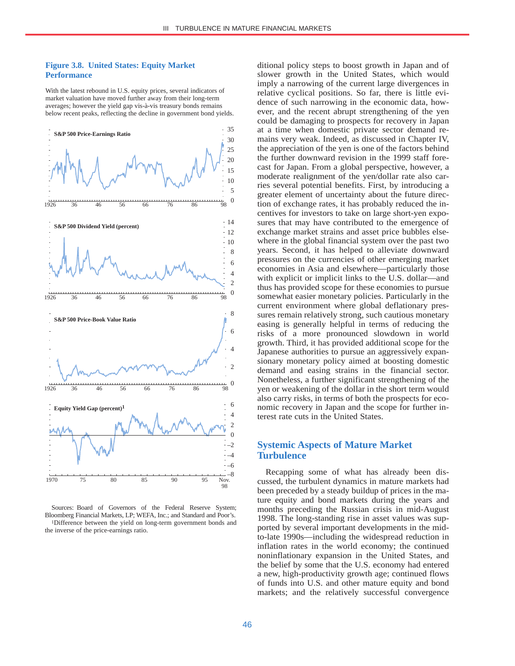#### **Figure 3.8. United States: Equity Market Performance**

With the latest rebound in U.S. equity prices, several indicators of market valuation have moved further away from their long-term averages; however the yield gap vis-à-vis treasury bonds remains below recent peaks, reflecting the decline in government bond yields.



Sources: Board of Governors of the Federal Reserve System; Bloomberg Financial Markets, LP; WEFA, Inc.; and Standard and Poor's. 1Difference between the yield on long-term government bonds and the inverse of the price-earnings ratio.

ditional policy steps to boost growth in Japan and of slower growth in the United States, which would imply a narrowing of the current large divergences in relative cyclical positions. So far, there is little evidence of such narrowing in the economic data, however, and the recent abrupt strengthening of the yen could be damaging to prospects for recovery in Japan at a time when domestic private sector demand remains very weak. Indeed, as discussed in Chapter IV, the appreciation of the yen is one of the factors behind the further downward revision in the 1999 staff forecast for Japan. From a global perspective, however, a moderate realignment of the yen/dollar rate also carries several potential benefits. First, by introducing a greater element of uncertainty about the future direction of exchange rates, it has probably reduced the incentives for investors to take on large short-yen exposures that may have contributed to the emergence of exchange market strains and asset price bubbles elsewhere in the global financial system over the past two years. Second, it has helped to alleviate downward pressures on the currencies of other emerging market economies in Asia and elsewhere—particularly those with explicit or implicit links to the U.S. dollar—and thus has provided scope for these economies to pursue somewhat easier monetary policies. Particularly in the current environment where global deflationary pressures remain relatively strong, such cautious monetary easing is generally helpful in terms of reducing the risks of a more pronounced slowdown in world growth. Third, it has provided additional scope for the Japanese authorities to pursue an aggressively expansionary monetary policy aimed at boosting domestic demand and easing strains in the financial sector. Nonetheless, a further significant strengthening of the yen or weakening of the dollar in the short term would also carry risks, in terms of both the prospects for economic recovery in Japan and the scope for further interest rate cuts in the United States.

# **Systemic Aspects of Mature Market Turbulence**

Recapping some of what has already been discussed, the turbulent dynamics in mature markets had been preceded by a steady buildup of prices in the mature equity and bond markets during the years and months preceding the Russian crisis in mid-August 1998. The long-standing rise in asset values was supported by several important developments in the midto-late 1990s—including the widespread reduction in inflation rates in the world economy; the continued noninflationary expansion in the United States, and the belief by some that the U.S. economy had entered a new, high-productivity growth age; continued flows of funds into U.S. and other mature equity and bond markets; and the relatively successful convergence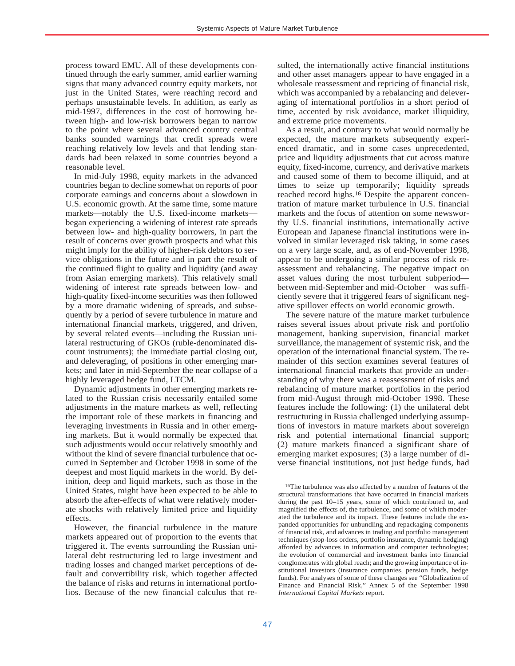process toward EMU. All of these developments continued through the early summer, amid earlier warning signs that many advanced country equity markets, not just in the United States, were reaching record and perhaps unsustainable levels. In addition, as early as mid-1997, differences in the cost of borrowing between high- and low-risk borrowers began to narrow to the point where several advanced country central banks sounded warnings that credit spreads were reaching relatively low levels and that lending standards had been relaxed in some countries beyond a reasonable level.

In mid-July 1998, equity markets in the advanced countries began to decline somewhat on reports of poor corporate earnings and concerns about a slowdown in U.S. economic growth. At the same time, some mature markets—notably the U.S. fixed-income markets began experiencing a widening of interest rate spreads between low- and high-quality borrowers, in part the result of concerns over growth prospects and what this might imply for the ability of higher-risk debtors to service obligations in the future and in part the result of the continued flight to quality and liquidity (and away from Asian emerging markets). This relatively small widening of interest rate spreads between low- and high-quality fixed-income securities was then followed by a more dramatic widening of spreads, and subsequently by a period of severe turbulence in mature and international financial markets, triggered, and driven, by several related events—including the Russian unilateral restructuring of GKOs (ruble-denominated discount instruments); the immediate partial closing out, and deleveraging, of positions in other emerging markets; and later in mid-September the near collapse of a highly leveraged hedge fund, LTCM.

Dynamic adjustments in other emerging markets related to the Russian crisis necessarily entailed some adjustments in the mature markets as well, reflecting the important role of these markets in financing and leveraging investments in Russia and in other emerging markets. But it would normally be expected that such adjustments would occur relatively smoothly and without the kind of severe financial turbulence that occurred in September and October 1998 in some of the deepest and most liquid markets in the world. By definition, deep and liquid markets, such as those in the United States, might have been expected to be able to absorb the after-effects of what were relatively moderate shocks with relatively limited price and liquidity effects.

However, the financial turbulence in the mature markets appeared out of proportion to the events that triggered it. The events surrounding the Russian unilateral debt restructuring led to large investment and trading losses and changed market perceptions of default and convertibility risk, which together affected the balance of risks and returns in international portfolios. Because of the new financial calculus that re-

sulted, the internationally active financial institutions and other asset managers appear to have engaged in a wholesale reassessment and repricing of financial risk, which was accompanied by a rebalancing and deleveraging of international portfolios in a short period of time, accented by risk avoidance, market illiquidity, and extreme price movements.

As a result, and contrary to what would normally be expected, the mature markets subsequently experienced dramatic, and in some cases unprecedented, price and liquidity adjustments that cut across mature equity, fixed-income, currency, and derivative markets and caused some of them to become illiquid, and at times to seize up temporarily; liquidity spreads reached record highs.16 Despite the apparent concentration of mature market turbulence in U.S. financial markets and the focus of attention on some newsworthy U.S. financial institutions, internationally active European and Japanese financial institutions were involved in similar leveraged risk taking, in some cases on a very large scale, and, as of end-November 1998, appear to be undergoing a similar process of risk reassessment and rebalancing. The negative impact on asset values during the most turbulent subperiod between mid-September and mid-October—was sufficiently severe that it triggered fears of significant negative spillover effects on world economic growth.

The severe nature of the mature market turbulence raises several issues about private risk and portfolio management, banking supervision, financial market surveillance, the management of systemic risk, and the operation of the international financial system. The remainder of this section examines several features of international financial markets that provide an understanding of why there was a reassessment of risks and rebalancing of mature market portfolios in the period from mid-August through mid-October 1998. These features include the following: (1) the unilateral debt restructuring in Russia challenged underlying assumptions of investors in mature markets about sovereign risk and potential international financial support; (2) mature markets financed a significant share of emerging market exposures; (3) a large number of diverse financial institutions, not just hedge funds, had

<sup>16</sup>The turbulence was also affected by a number of features of the structural transformations that have occurred in financial markets during the past 10–15 years, some of which contributed to, and magnified the effects of, the turbulence, and some of which moderated the turbulence and its impact. These features include the expanded opportunities for unbundling and repackaging components of financial risk, and advances in trading and portfolio management techniques (stop-loss orders, portfolio insurance, dynamic hedging) afforded by advances in information and computer technologies; the evolution of commercial and investment banks into financial conglomerates with global reach; and the growing importance of institutional investors (insurance companies, pension funds, hedge funds). For analyses of some of these changes see "Globalization of Finance and Financial Risk," Annex 5 of the September 1998 *International Capital Markets* report.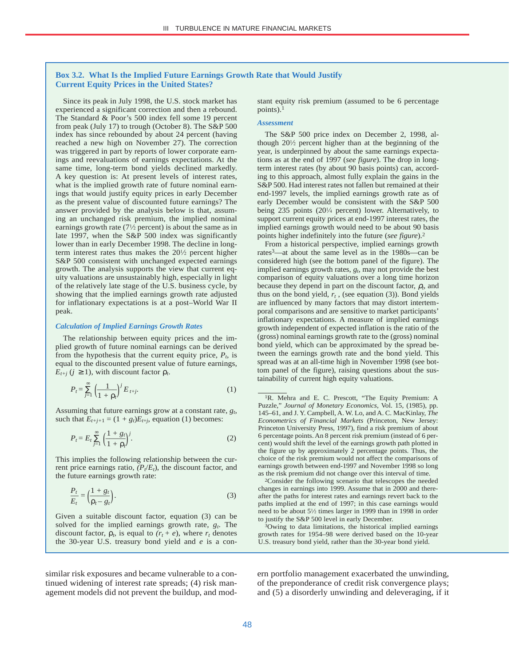#### **Box 3.2. What Is the Implied Future Earnings Growth Rate that Would Justify Current Equity Prices in the United States?**

Since its peak in July 1998, the U.S. stock market has experienced a significant correction and then a rebound. The Standard & Poor's 500 index fell some 19 percent from peak (July 17) to trough (October 8). The S&P 500 index has since rebounded by about 24 percent (having reached a new high on November 27). The correction was triggered in part by reports of lower corporate earnings and reevaluations of earnings expectations. At the same time, long-term bond yields declined markedly. A key question is: At present levels of interest rates, what is the implied growth rate of future nominal earnings that would justify equity prices in early December as the present value of discounted future earnings? The answer provided by the analysis below is that, assuming an unchanged risk premium, the implied nominal earnings growth rate  $(7\frac{1}{2})$  percent) is about the same as in late 1997, when the S&P 500 index was significantly lower than in early December 1998. The decline in longterm interest rates thus makes the  $20\frac{1}{2}$  percent higher S&P 500 consistent with unchanged expected earnings growth. The analysis supports the view that current equity valuations are unsustainably high, especially in light of the relatively late stage of the U.S. business cycle, by showing that the implied earnings growth rate adjusted for inflationary expectations is at a post–World War II peak.

#### *Calculation of Implied Earnings Growth Rates*

The relationship between equity prices and the implied growth of future nominal earnings can be derived from the hypothesis that the current equity price,  $P_t$ , is equal to the discounted present value of future earnings,  $E_{t+j}$  ( $j \ge 1$ ), with discount factor  $\rho_t$ .

$$
P_{t} = \sum_{j=1}^{\infty} \left(\frac{1}{1+\rho_{t}}\right)^{j} E_{t+j}.
$$
 (1)

Assuming that future earnings grow at a constant rate, *gt*, such that  $E_{t+j+1} = (1 + g_t)E_{t+j}$ , equation (1) becomes:

$$
P_t = E_t \sum_{j=1}^{\infty} \left( \frac{1 + g_t}{1 + \rho_t} \right)^j.
$$
 (2)

This implies the following relationship between the current price earnings ratio,  $(P_t/E_t)$ , the discount factor, and the future earnings growth rate:

$$
\frac{P_t}{E_t} = \left(\frac{1+g_t}{\rho_t - g_t}\right). \tag{3}
$$

Given a suitable discount factor, equation (3) can be solved for the implied earnings growth rate,  $g_t$ . The discount factor,  $\rho_t$ , is equal to  $(r_t + e)$ , where  $r_t$  denotes the 30-year U.S. treasury bond yield and *e* is a con-

similar risk exposures and became vulnerable to a continued widening of interest rate spreads; (4) risk management models did not prevent the buildup, and modstant equity risk premium (assumed to be 6 percentage points).1

#### *Assessment*

The S&P 500 price index on December 2, 1998, although  $20\frac{1}{2}$  percent higher than at the beginning of the year, is underpinned by about the same earnings expectations as at the end of 1997 (*see figure*). The drop in longterm interest rates (by about 90 basis points) can, according to this approach, almost fully explain the gains in the S&P 500. Had interest rates not fallen but remained at their end-1997 levels, the implied earnings growth rate as of early December would be consistent with the S&P 500 being 235 points (20¼ percent) lower. Alternatively, to support current equity prices at end-1997 interest rates, the implied earnings growth would need to be about 90 basis points higher indefinitely into the future (*see figure*).2

From a historical perspective, implied earnings growth rates3—at about the same level as in the 1980s—can be considered high (see the bottom panel of the figure). The implied earnings growth rates, *gt*, may not provide the best comparison of equity valuations over a long time horizon because they depend in part on the discount factor,  $\rho_t$ , and thus on the bond yield,  $r_t$ , (see equation (3)). Bond yields are influenced by many factors that may distort intertemporal comparisons and are sensitive to market participants' inflationary expectations. A measure of implied earnings growth independent of expected inflation is the ratio of the (gross) nominal earnings growth rate to the (gross) nominal bond yield, which can be approximated by the spread between the earnings growth rate and the bond yield. This spread was at an all-time high in November 1998 (see bottom panel of the figure), raising questions about the sustainability of current high equity valuations.

2Consider the following scenario that telescopes the needed changes in earnings into 1999. Assume that in 2000 and thereafter the paths for interest rates and earnings revert back to the paths implied at the end of 1997; in this case earnings would need to be about 5½ times larger in 1999 than in 1998 in order to justify the S&P 500 level in early December.

3Owing to data limitations, the historical implied earnings growth rates for 1954–98 were derived based on the 10-year U.S. treasury bond yield, rather than the 30-year bond yield.

ern portfolio management exacerbated the unwinding, of the preponderance of credit risk convergence plays; and (5) a disorderly unwinding and deleveraging, if it

<sup>1</sup>R. Mehra and E. C. Prescott, "The Equity Premium: A Puzzle," *Journal of Monetary Economics*, Vol. 15, (1985), pp. 145–61, and J. Y. Campbell, A. W. Lo, and A. C. MacKinlay, *The Econometrics of Financial Markets* (Princeton, New Jersey: Princeton University Press, 1997), find a risk premium of about 6 percentage points. An 8 percent risk premium (instead of 6 percent) would shift the level of the earnings growth path plotted in the figure up by approximately 2 percentage points. Thus, the choice of the risk premium would not affect the comparisons of earnings growth between end-1997 and November 1998 so long as the risk premium did not change over this interval of time.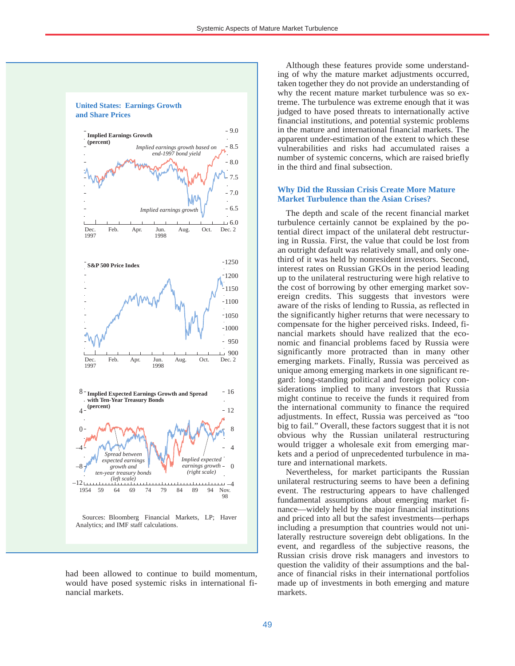

had been allowed to continue to build momentum, would have posed systemic risks in international financial markets.

Although these features provide some understanding of why the mature market adjustments occurred, taken together they do not provide an understanding of why the recent mature market turbulence was so extreme. The turbulence was extreme enough that it was judged to have posed threats to internationally active financial institutions, and potential systemic problems in the mature and international financial markets. The apparent under-estimation of the extent to which these vulnerabilities and risks had accumulated raises a number of systemic concerns, which are raised briefly in the third and final subsection.

#### **Why Did the Russian Crisis Create More Mature Market Turbulence than the Asian Crises?**

The depth and scale of the recent financial market turbulence certainly cannot be explained by the potential direct impact of the unilateral debt restructuring in Russia. First, the value that could be lost from an outright default was relatively small, and only onethird of it was held by nonresident investors. Second, interest rates on Russian GKOs in the period leading up to the unilateral restructuring were high relative to the cost of borrowing by other emerging market sovereign credits. This suggests that investors were aware of the risks of lending to Russia, as reflected in the significantly higher returns that were necessary to compensate for the higher perceived risks. Indeed, financial markets should have realized that the economic and financial problems faced by Russia were significantly more protracted than in many other emerging markets. Finally, Russia was perceived as unique among emerging markets in one significant regard: long-standing political and foreign policy considerations implied to many investors that Russia might continue to receive the funds it required from the international community to finance the required adjustments. In effect, Russia was perceived as "too big to fail." Overall, these factors suggest that it is not obvious why the Russian unilateral restructuring would trigger a wholesale exit from emerging markets and a period of unprecedented turbulence in mature and international markets.

Nevertheless, for market participants the Russian unilateral restructuring seems to have been a defining event. The restructuring appears to have challenged fundamental assumptions about emerging market finance—widely held by the major financial institutions and priced into all but the safest investments—perhaps including a presumption that countries would not unilaterally restructure sovereign debt obligations. In the event, and regardless of the subjective reasons, the Russian crisis drove risk managers and investors to question the validity of their assumptions and the balance of financial risks in their international portfolios made up of investments in both emerging and mature markets.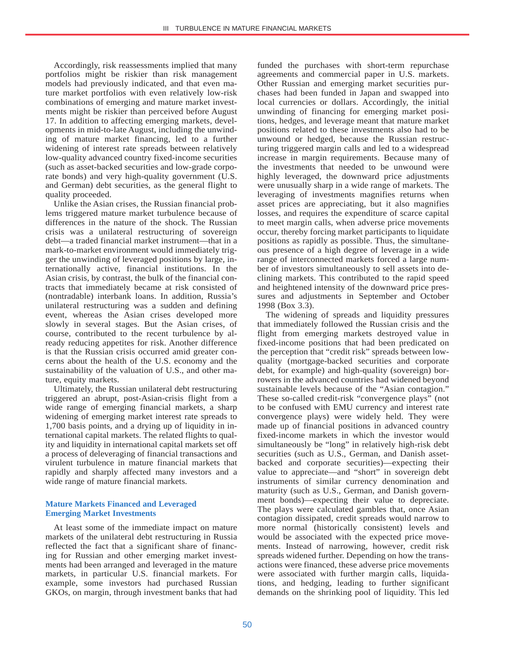Accordingly, risk reassessments implied that many portfolios might be riskier than risk management models had previously indicated, and that even mature market portfolios with even relatively low-risk combinations of emerging and mature market investments might be riskier than perceived before August 17. In addition to affecting emerging markets, developments in mid-to-late August, including the unwinding of mature market financing, led to a further widening of interest rate spreads between relatively low-quality advanced country fixed-income securities (such as asset-backed securities and low-grade corporate bonds) and very high-quality government (U.S. and German) debt securities, as the general flight to quality proceeded.

Unlike the Asian crises, the Russian financial problems triggered mature market turbulence because of differences in the nature of the shock. The Russian crisis was a unilateral restructuring of sovereign debt—a traded financial market instrument—that in a mark-to-market environment would immediately trigger the unwinding of leveraged positions by large, internationally active, financial institutions. In the Asian crisis, by contrast, the bulk of the financial contracts that immediately became at risk consisted of (nontradable) interbank loans. In addition, Russia's unilateral restructuring was a sudden and defining event, whereas the Asian crises developed more slowly in several stages. But the Asian crises, of course, contributed to the recent turbulence by already reducing appetites for risk. Another difference is that the Russian crisis occurred amid greater concerns about the health of the U.S. economy and the sustainability of the valuation of U.S., and other mature, equity markets.

Ultimately, the Russian unilateral debt restructuring triggered an abrupt, post-Asian-crisis flight from a wide range of emerging financial markets, a sharp widening of emerging market interest rate spreads to 1,700 basis points, and a drying up of liquidity in international capital markets. The related flights to quality and liquidity in international capital markets set off a process of deleveraging of financial transactions and virulent turbulence in mature financial markets that rapidly and sharply affected many investors and a wide range of mature financial markets.

#### **Mature Markets Financed and Leveraged Emerging Market Investments**

At least some of the immediate impact on mature markets of the unilateral debt restructuring in Russia reflected the fact that a significant share of financing for Russian and other emerging market investments had been arranged and leveraged in the mature markets, in particular U.S. financial markets. For example, some investors had purchased Russian GKOs, on margin, through investment banks that had funded the purchases with short-term repurchase agreements and commercial paper in U.S. markets. Other Russian and emerging market securities purchases had been funded in Japan and swapped into local currencies or dollars. Accordingly, the initial unwinding of financing for emerging market positions, hedges, and leverage meant that mature market positions related to these investments also had to be unwound or hedged, because the Russian restructuring triggered margin calls and led to a widespread increase in margin requirements. Because many of the investments that needed to be unwound were highly leveraged, the downward price adjustments were unusually sharp in a wide range of markets. The leveraging of investments magnifies returns when asset prices are appreciating, but it also magnifies losses, and requires the expenditure of scarce capital to meet margin calls, when adverse price movements occur, thereby forcing market participants to liquidate positions as rapidly as possible. Thus, the simultaneous presence of a high degree of leverage in a wide range of interconnected markets forced a large number of investors simultaneously to sell assets into declining markets. This contributed to the rapid speed and heightened intensity of the downward price pressures and adjustments in September and October 1998 (Box 3.3).

The widening of spreads and liquidity pressures that immediately followed the Russian crisis and the flight from emerging markets destroyed value in fixed-income positions that had been predicated on the perception that "credit risk" spreads between lowquality (mortgage-backed securities and corporate debt, for example) and high-quality (sovereign) borrowers in the advanced countries had widened beyond sustainable levels because of the "Asian contagion." These so-called credit-risk "convergence plays" (not to be confused with EMU currency and interest rate convergence plays) were widely held. They were made up of financial positions in advanced country fixed-income markets in which the investor would simultaneously be "long" in relatively high-risk debt securities (such as U.S., German, and Danish assetbacked and corporate securities)—expecting their value to appreciate—and "short" in sovereign debt instruments of similar currency denomination and maturity (such as U.S., German, and Danish government bonds)—expecting their value to depreciate. The plays were calculated gambles that, once Asian contagion dissipated, credit spreads would narrow to more normal (historically consistent) levels and would be associated with the expected price movements. Instead of narrowing, however, credit risk spreads widened further. Depending on how the transactions were financed, these adverse price movements were associated with further margin calls, liquidations, and hedging, leading to further significant demands on the shrinking pool of liquidity. This led

50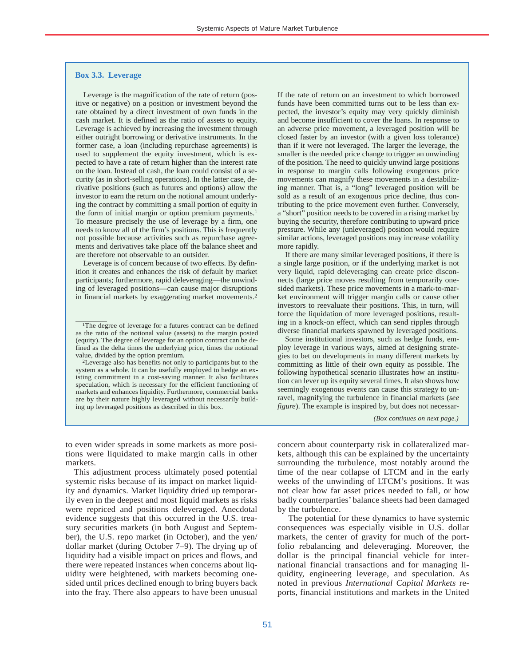#### **Box 3.3. Leverage**

Leverage is the magnification of the rate of return (positive or negative) on a position or investment beyond the rate obtained by a direct investment of own funds in the cash market. It is defined as the ratio of assets to equity. Leverage is achieved by increasing the investment through either outright borrowing or derivative instruments. In the former case, a loan (including repurchase agreements) is used to supplement the equity investment, which is expected to have a rate of return higher than the interest rate on the loan. Instead of cash, the loan could consist of a security (as in short-selling operations). In the latter case, derivative positions (such as futures and options) allow the investor to earn the return on the notional amount underlying the contract by committing a small portion of equity in the form of initial margin or option premium payments.<sup>1</sup> To measure precisely the use of leverage by a firm, one needs to know all of the firm's positions. This is frequently not possible because activities such as repurchase agreements and derivatives take place off the balance sheet and are therefore not observable to an outsider.

Leverage is of concern because of two effects. By definition it creates and enhances the risk of default by market participants; furthermore, rapid deleveraging—the unwinding of leveraged positions—can cause major disruptions in financial markets by exaggerating market movements.2

2Leverage also has benefits not only to participants but to the system as a whole. It can be usefully employed to hedge an existing commitment in a cost-saving manner. It also facilitates speculation, which is necessary for the efficient functioning of markets and enhances liquidity. Furthermore, commercial banks are by their nature highly leveraged without necessarily building up leveraged positions as described in this box.

If the rate of return on an investment to which borrowed funds have been committed turns out to be less than expected, the investor's equity may very quickly diminish and become insufficient to cover the loans. In response to an adverse price movement, a leveraged position will be closed faster by an investor (with a given loss tolerance) than if it were not leveraged. The larger the leverage, the smaller is the needed price change to trigger an unwinding of the position. The need to quickly unwind large positions in response to margin calls following exogenous price movements can magnify these movements in a destabilizing manner. That is, a "long" leveraged position will be sold as a result of an exogenous price decline, thus contributing to the price movement even further. Conversely, a "short" position needs to be covered in a rising market by buying the security, therefore contributing to upward price pressure. While any (unleveraged) position would require similar actions, leveraged positions may increase volatility more rapidly.

If there are many similar leveraged positions, if there is a single large position, or if the underlying market is not very liquid, rapid deleveraging can create price disconnects (large price moves resulting from temporarily onesided markets). These price movements in a mark-to-market environment will trigger margin calls or cause other investors to reevaluate their positions. This, in turn, will force the liquidation of more leveraged positions, resulting in a knock-on effect, which can send ripples through diverse financial markets spawned by leveraged positions.

Some institutional investors, such as hedge funds, employ leverage in various ways, aimed at designing strategies to bet on developments in many different markets by committing as little of their own equity as possible. The following hypothetical scenario illustrates how an institution can lever up its equity several times. It also shows how seemingly exogenous events can cause this strategy to unravel, magnifying the turbulence in financial markets (*see figure*). The example is inspired by, but does not necessar-

*(Box continues on next page.)*

to even wider spreads in some markets as more positions were liquidated to make margin calls in other markets.

This adjustment process ultimately posed potential systemic risks because of its impact on market liquidity and dynamics. Market liquidity dried up temporarily even in the deepest and most liquid markets as risks were repriced and positions deleveraged. Anecdotal evidence suggests that this occurred in the U.S. treasury securities markets (in both August and September), the U.S. repo market (in October), and the yen/ dollar market (during October 7–9). The drying up of liquidity had a visible impact on prices and flows, and there were repeated instances when concerns about liquidity were heightened, with markets becoming onesided until prices declined enough to bring buyers back into the fray. There also appears to have been unusual

concern about counterparty risk in collateralized markets, although this can be explained by the uncertainty surrounding the turbulence, most notably around the time of the near collapse of LTCM and in the early weeks of the unwinding of LTCM's positions. It was not clear how far asset prices needed to fall, or how badly counterparties' balance sheets had been damaged by the turbulence.

The potential for these dynamics to have systemic consequences was especially visible in U.S. dollar markets, the center of gravity for much of the portfolio rebalancing and deleveraging. Moreover, the dollar is the principal financial vehicle for international financial transactions and for managing liquidity, engineering leverage, and speculation. As noted in previous *International Capital Markets* reports, financial institutions and markets in the United

<sup>1</sup>The degree of leverage for a futures contract can be defined as the ratio of the notional value (assets) to the margin posted (equity). The degree of leverage for an option contract can be defined as the delta times the underlying price, times the notional value, divided by the option premium.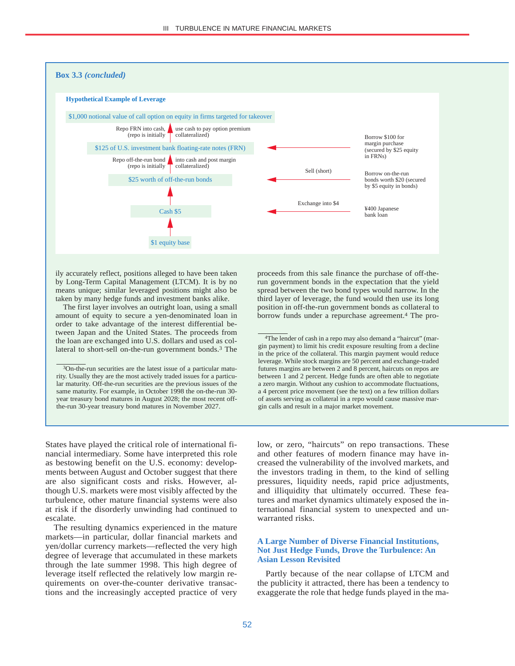

ily accurately reflect, positions alleged to have been taken by Long-Term Capital Management (LTCM). It is by no means unique; similar leveraged positions might also be taken by many hedge funds and investment banks alike.

The first layer involves an outright loan, using a small amount of equity to secure a yen-denominated loan in order to take advantage of the interest differential between Japan and the United States. The proceeds from the loan are exchanged into U.S. dollars and used as collateral to short-sell on-the-run government bonds.3 The

3On-the-run securities are the latest issue of a particular maturity. Usually they are the most actively traded issues for a particular maturity. Off-the-run securities are the previous issues of the same maturity. For example, in October 1998 the on-the-run 30 year treasury bond matures in August 2028; the most recent offthe-run 30-year treasury bond matures in November 2027.

proceeds from this sale finance the purchase of off-therun government bonds in the expectation that the yield spread between the two bond types would narrow. In the third layer of leverage, the fund would then use its long position in off-the-run government bonds as collateral to borrow funds under a repurchase agreement.4 The pro-

States have played the critical role of international financial intermediary. Some have interpreted this role as bestowing benefit on the U.S. economy: developments between August and October suggest that there are also significant costs and risks. However, although U.S. markets were most visibly affected by the turbulence, other mature financial systems were also at risk if the disorderly unwinding had continued to escalate.

The resulting dynamics experienced in the mature markets—in particular, dollar financial markets and yen/dollar currency markets—reflected the very high degree of leverage that accumulated in these markets through the late summer 1998. This high degree of leverage itself reflected the relatively low margin requirements on over-the-counter derivative transactions and the increasingly accepted practice of very low, or zero, "haircuts" on repo transactions. These and other features of modern finance may have increased the vulnerability of the involved markets, and the investors trading in them, to the kind of selling pressures, liquidity needs, rapid price adjustments, and illiquidity that ultimately occurred. These features and market dynamics ultimately exposed the international financial system to unexpected and unwarranted risks.

#### **A Large Number of Diverse Financial Institutions, Not Just Hedge Funds, Drove the Turbulence: An Asian Lesson Revisited**

Partly because of the near collapse of LTCM and the publicity it attracted, there has been a tendency to exaggerate the role that hedge funds played in the ma-

<sup>4</sup>The lender of cash in a repo may also demand a "haircut" (margin payment) to limit his credit exposure resulting from a decline in the price of the collateral. This margin payment would reduce leverage. While stock margins are 50 percent and exchange-traded futures margins are between 2 and 8 percent, haircuts on repos are between 1 and 2 percent. Hedge funds are often able to negotiate a zero margin. Without any cushion to accommodate fluctuations, a 4 percent price movement (see the text) on a few trillion dollars of assets serving as collateral in a repo would cause massive margin calls and result in a major market movement.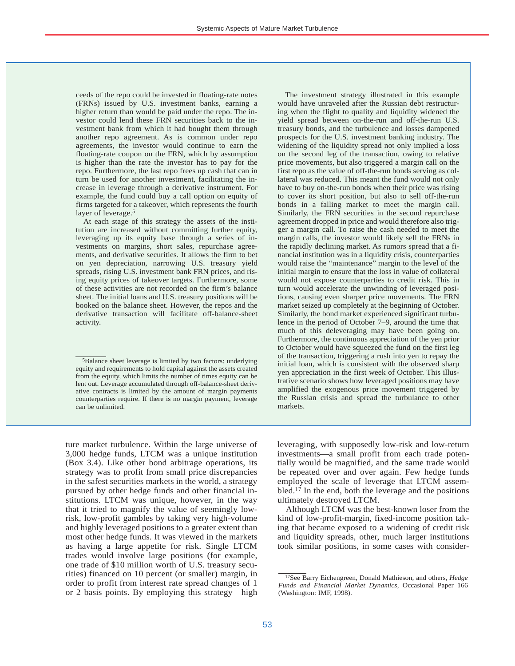ceeds of the repo could be invested in floating-rate notes (FRNs) issued by U.S. investment banks, earning a higher return than would be paid under the repo. The investor could lend these FRN securities back to the investment bank from which it had bought them through another repo agreement. As is common under repo agreements, the investor would continue to earn the floating-rate coupon on the FRN, which by assumption is higher than the rate the investor has to pay for the repo. Furthermore, the last repo frees up cash that can in turn be used for another investment, facilitating the increase in leverage through a derivative instrument. For example, the fund could buy a call option on equity of firms targeted for a takeover, which represents the fourth layer of leverage.5

At each stage of this strategy the assets of the institution are increased without committing further equity, leveraging up its equity base through a series of investments on margins, short sales, repurchase agreements, and derivative securities. It allows the firm to bet on yen depreciation, narrowing U.S. treasury yield spreads, rising U.S. investment bank FRN prices, and rising equity prices of takeover targets. Furthermore, some of these activities are not recorded on the firm's balance sheet. The initial loans and U.S. treasury positions will be booked on the balance sheet. However, the repos and the derivative transaction will facilitate off-balance-sheet activity.

The investment strategy illustrated in this example would have unraveled after the Russian debt restructuring when the flight to quality and liquidity widened the yield spread between on-the-run and off-the-run U.S. treasury bonds, and the turbulence and losses dampened prospects for the U.S. investment banking industry. The widening of the liquidity spread not only implied a loss on the second leg of the transaction, owing to relative price movements, but also triggered a margin call on the first repo as the value of off-the-run bonds serving as collateral was reduced. This meant the fund would not only have to buy on-the-run bonds when their price was rising to cover its short position, but also to sell off-the-run bonds in a falling market to meet the margin call. Similarly, the FRN securities in the second repurchase agreement dropped in price and would therefore also trigger a margin call. To raise the cash needed to meet the margin calls, the investor would likely sell the FRNs in the rapidly declining market. As rumors spread that a financial institution was in a liquidity crisis, counterparties would raise the "maintenance" margin to the level of the initial margin to ensure that the loss in value of collateral would not expose counterparties to credit risk. This in turn would accelerate the unwinding of leveraged positions, causing even sharper price movements. The FRN market seized up completely at the beginning of October. Similarly, the bond market experienced significant turbulence in the period of October 7–9, around the time that much of this deleveraging may have been going on. Furthermore, the continuous appreciation of the yen prior to October would have squeezed the fund on the first leg of the transaction, triggering a rush into yen to repay the initial loan, which is consistent with the observed sharp yen appreciation in the first week of October. This illustrative scenario shows how leveraged positions may have amplified the exogenous price movement triggered by the Russian crisis and spread the turbulance to other markets.

ture market turbulence. Within the large universe of 3,000 hedge funds, LTCM was a unique institution (Box 3.4). Like other bond arbitrage operations, its strategy was to profit from small price discrepancies in the safest securities markets in the world, a strategy pursued by other hedge funds and other financial institutions. LTCM was unique, however, in the way that it tried to magnify the value of seemingly lowrisk, low-profit gambles by taking very high-volume and highly leveraged positions to a greater extent than most other hedge funds. It was viewed in the markets as having a large appetite for risk. Single LTCM trades would involve large positions (for example, one trade of \$10 million worth of U.S. treasury securities) financed on 10 percent (or smaller) margin, in order to profit from interest rate spread changes of 1 or 2 basis points. By employing this strategy—high

leveraging, with supposedly low-risk and low-return investments—a small profit from each trade potentially would be magnified, and the same trade would be repeated over and over again. Few hedge funds employed the scale of leverage that LTCM assembled.17 In the end, both the leverage and the positions ultimately destroyed LTCM.

Although LTCM was the best-known loser from the kind of low-profit-margin, fixed-income position taking that became exposed to a widening of credit risk and liquidity spreads, other, much larger institutions took similar positions, in some cases with consider-

<sup>5</sup>Balance sheet leverage is limited by two factors: underlying equity and requirements to hold capital against the assets created from the equity, which limits the number of times equity can be lent out. Leverage accumulated through off-balance-sheet derivative contracts is limited by the amount of margin payments counterparties require. If there is no margin payment, leverage can be unlimited.

<sup>17</sup>See Barry Eichengreen, Donald Mathieson, and others, *Hedge Funds and Financial Market Dynamics,* Occasional Paper 166 (Washington: IMF, 1998).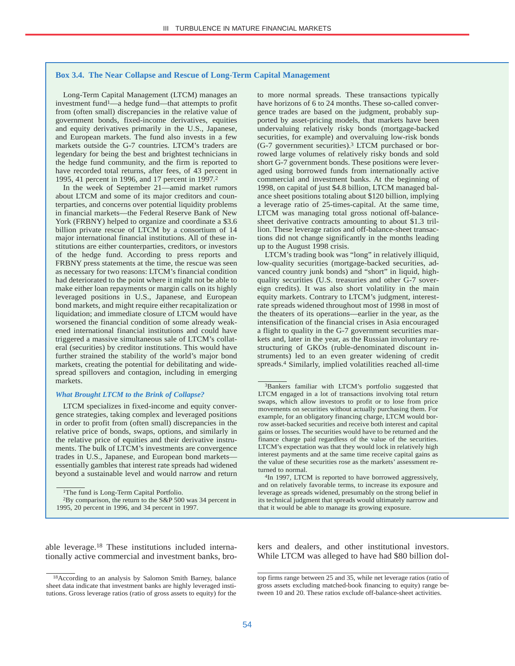#### **Box 3.4. The Near Collapse and Rescue of Long-Term Capital Management**

Long-Term Capital Management (LTCM) manages an investment fund1—a hedge fund—that attempts to profit from (often small) discrepancies in the relative value of government bonds, fixed-income derivatives, equities and equity derivatives primarily in the U.S., Japanese, and European markets. The fund also invests in a few markets outside the G-7 countries. LTCM's traders are legendary for being the best and brightest technicians in the hedge fund community, and the firm is reported to have recorded total returns, after fees, of 43 percent in 1995, 41 percent in 1996, and 17 percent in 1997.2

In the week of September 21—amid market rumors about LTCM and some of its major creditors and counterparties, and concerns over potential liquidity problems in financial markets—the Federal Reserve Bank of New York (FRBNY) helped to organize and coordinate a \$3.6 billion private rescue of LTCM by a consortium of 14 major international financial institutions. All of these institutions are either counterparties, creditors, or investors of the hedge fund. According to press reports and FRBNY press statements at the time, the rescue was seen as necessary for two reasons: LTCM's financial condition had deteriorated to the point where it might not be able to make either loan repayments or margin calls on its highly leveraged positions in U.S., Japanese, and European bond markets, and might require either recapitalization or liquidation; and immediate closure of LTCM would have worsened the financial condition of some already weakened international financial institutions and could have triggered a massive simultaneous sale of LTCM's collateral (securities) by creditor institutions. This would have further strained the stability of the world's major bond markets, creating the potential for debilitating and widespread spillovers and contagion, including in emerging markets.

#### *What Brought LTCM to the Brink of Collapse?*

LTCM specializes in fixed-income and equity convergence strategies, taking complex and leveraged positions in order to profit from (often small) discrepancies in the relative price of bonds, swaps, options, and similarly in the relative price of equities and their derivative instruments. The bulk of LTCM's investments are convergence trades in U.S., Japanese, and European bond markets essentially gambles that interest rate spreads had widened beyond a sustainable level and would narrow and return

<sup>1</sup>The fund is Long-Term Capital Portfolio.

2By comparison, the return to the S&P 500 was 34 percent in 1995, 20 percent in 1996, and 34 percent in 1997.

to more normal spreads. These transactions typically have horizons of 6 to 24 months. These so-called convergence trades are based on the judgment, probably supported by asset-pricing models, that markets have been undervaluing relatively risky bonds (mortgage-backed securities, for example) and overvaluing low-risk bonds (G-7 government securities).3 LTCM purchased or borrowed large volumes of relatively risky bonds and sold short G-7 government bonds. These positions were leveraged using borrowed funds from internationally active commercial and investment banks. At the beginning of 1998, on capital of just \$4.8 billion, LTCM managed balance sheet positions totaling about \$120 billion, implying a leverage ratio of 25-times-capital. At the same time, LTCM was managing total gross notional off-balancesheet derivative contracts amounting to about \$1.3 trillion. These leverage ratios and off-balance-sheet transactions did not change significantly in the months leading up to the August 1998 crisis.

LTCM's trading book was "long" in relatively illiquid, low-quality securities (mortgage-backed securities, advanced country junk bonds) and "short" in liquid, highquality securities (U.S. treasuries and other G-7 sovereign credits). It was also short volatility in the main equity markets. Contrary to LTCM's judgment, interestrate spreads widened throughout most of 1998 in most of the theaters of its operations—earlier in the year, as the intensification of the financial crises in Asia encouraged a flight to quality in the G-7 government securities markets and, later in the year, as the Russian involuntary restructuring of GKOs (ruble-denominated discount instruments) led to an even greater widening of credit spreads.4 Similarly, implied volatilities reached all-time

and on relatively favorable terms, to increase its exposure and leverage as spreads widened, presumably on the strong belief in its technical judgment that spreads would ultimately narrow and that it would be able to manage its growing exposure.

able leverage.18 These institutions included internationally active commercial and investment banks, brokers and dealers, and other institutional investors. While LTCM was alleged to have had \$80 billion dol-

top firms range between 25 and 35, while net leverage ratios (ratio of gross assets excluding matched-book financing to equity) range between 10 and 20. These ratios exclude off-balance-sheet activities.

<sup>3</sup>Bankers familiar with LTCM's portfolio suggested that LTCM engaged in a lot of transactions involving total return swaps, which allow investors to profit or to lose from price movements on securities without actually purchasing them. For example, for an obligatory financing charge, LTCM would borrow asset-backed securities and receive both interest and capital gains or losses. The securities would have to be returned and the finance charge paid regardless of the value of the securities. LTCM's expectation was that they would lock in relatively high interest payments and at the same time receive capital gains as the value of these securities rose as the markets' assessment returned to normal.<br><sup>4</sup>In 1997, LTCM is reported to have borrowed aggressively,

<sup>18</sup>According to an analysis by Salomon Smith Barney, balance sheet data indicate that investment banks are highly leveraged institutions. Gross leverage ratios (ratio of gross assets to equity) for the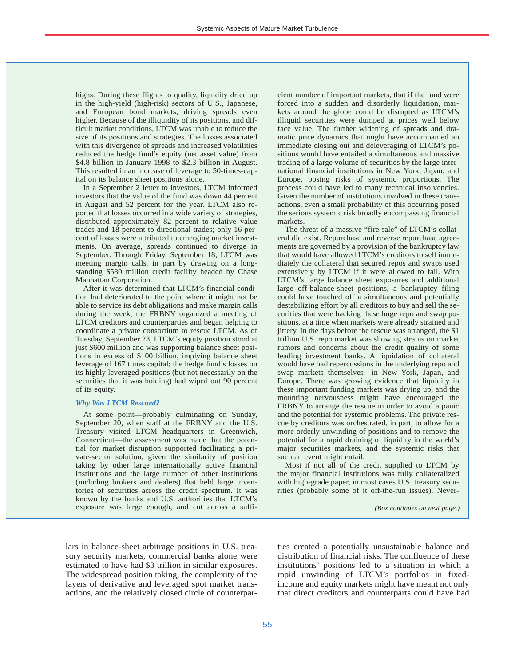highs. During these flights to quality, liquidity dried up in the high-yield (high-risk) sectors of U.S., Japanese, and European bond markets, driving spreads even higher. Because of the illiquidity of its positions, and difficult market conditions, LTCM was unable to reduce the size of its positions and strategies. The losses associated with this divergence of spreads and increased volatilities reduced the hedge fund's equity (net asset value) from \$4.8 billion in January 1998 to \$2.3 billion in August. This resulted in an increase of leverage to 50-times-capital on its balance sheet positions alone.

In a September 2 letter to investors, LTCM informed investors that the value of the fund was down 44 percent in August and 52 percent for the year. LTCM also reported that losses occurred in a wide variety of strategies, distributed approximately 82 percent to relative value trades and 18 percent to directional trades; only 16 percent of losses were attributed to emerging market investments. On average, spreads continued to diverge in September. Through Friday, September 18, LTCM was meeting margin calls, in part by drawing on a longstanding \$580 million credit facility headed by Chase Manhattan Corporation.

After it was determined that LTCM's financial condition had deteriorated to the point where it might not be able to service its debt obligations and make margin calls during the week, the FRBNY organized a meeting of LTCM creditors and counterparties and began helping to coordinate a private consortium to rescue LTCM. As of Tuesday, September 23, LTCM's equity position stood at just \$600 million and was supporting balance sheet positions in excess of \$100 billion, implying balance sheet leverage of 167 times capital; the hedge fund's losses on its highly leveraged positions (but not necessarily on the securities that it was holding) had wiped out 90 percent of its equity.

#### *Why Was LTCM Rescued?*

At some point—probably culminating on Sunday, September 20, when staff at the FRBNY and the U.S. Treasury visited LTCM headquarters in Greenwich, Connecticut—the assessment was made that the potential for market disruption supported facilitating a private-sector solution, given the similarity of position taking by other large internationally active financial institutions and the large number of other institutions (including brokers and dealers) that held large inventories of securities across the credit spectrum. It was known by the banks and U.S. authorities that LTCM's exposure was large enough, and cut across a sufficient number of important markets, that if the fund were forced into a sudden and disorderly liquidation, markets around the globe could be disrupted as LTCM's illiquid securities were dumped at prices well below face value. The further widening of spreads and dramatic price dynamics that might have accompanied an immediate closing out and deleveraging of LTCM's positions would have entailed a simultaneous and massive trading of a large volume of securities by the large international financial institutions in New York, Japan, and Europe, posing risks of systemic proportions. The process could have led to many technical insolvencies. Given the number of institutions involved in these transactions, even a small probability of this occurring posed the serious systemic risk broadly encompassing financial markets.

The threat of a massive "fire sale" of LTCM's collateral did exist. Repurchase and reverse repurchase agreements are governed by a provision of the bankruptcy law that would have allowed LTCM's creditors to sell immediately the collateral that secured repos and swaps used extensively by LTCM if it were allowed to fail. With LTCM's large balance sheet exposures and additional large off-balance-sheet positions, a bankruptcy filing could have touched off a simultaneous and potentially destabilizing effort by all creditors to buy and sell the securities that were backing these huge repo and swap positions, at a time when markets were already strained and jittery. In the days before the rescue was arranged, the \$1 trillion U.S. repo market was showing strains on market rumors and concerns about the credit quality of some leading investment banks. A liquidation of collateral would have had repercussions in the underlying repo and swap markets themselves—in New York, Japan, and Europe. There was growing evidence that liquidity in these important funding markets was drying up, and the mounting nervousness might have encouraged the FRBNY to arrange the rescue in order to avoid a panic and the potential for systemic problems. The private rescue by creditors was orchestrated, in part, to allow for a more orderly unwinding of positions and to remove the potential for a rapid draining of liquidity in the world's major securities markets, and the systemic risks that such an event might entail.

Most if not all of the credit supplied to LTCM by the major financial institutions was fully collateralized with high-grade paper, in most cases U.S. treasury securities (probably some of it off-the-run issues). Never-

*(Box continues on next page.)*

lars in balance-sheet arbitrage positions in U.S. treasury security markets, commercial banks alone were estimated to have had \$3 trillion in similar exposures. The widespread position taking, the complexity of the layers of derivative and leveraged spot market transactions, and the relatively closed circle of counterparties created a potentially unsustainable balance and distribution of financial risks. The confluence of these institutions' positions led to a situation in which a rapid unwinding of LTCM's portfolios in fixedincome and equity markets might have meant not only that direct creditors and counterparts could have had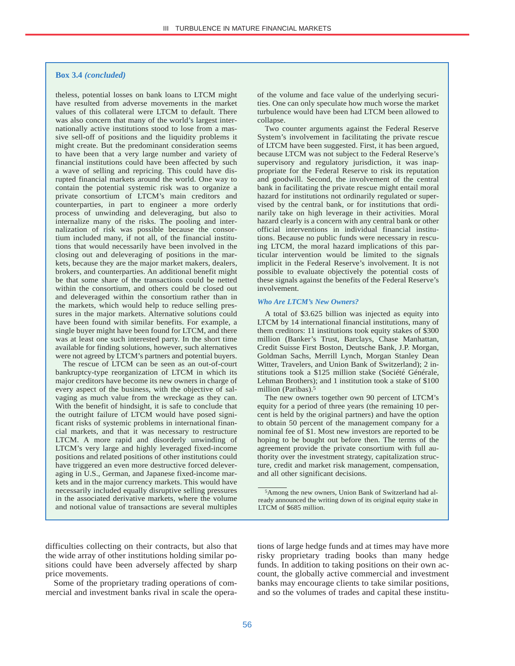#### **Box 3.4** *(concluded)*

theless, potential losses on bank loans to LTCM might have resulted from adverse movements in the market values of this collateral were LTCM to default. There was also concern that many of the world's largest internationally active institutions stood to lose from a massive sell-off of positions and the liquidity problems it might create. But the predominant consideration seems to have been that a very large number and variety of financial institutions could have been affected by such a wave of selling and repricing. This could have disrupted financial markets around the world. One way to contain the potential systemic risk was to organize a private consortium of LTCM's main creditors and counterparties, in part to engineer a more orderly process of unwinding and deleveraging, but also to internalize many of the risks. The pooling and internalization of risk was possible because the consortium included many, if not all, of the financial institutions that would necessarily have been involved in the closing out and deleveraging of positions in the markets, because they are the major market makers, dealers, brokers, and counterparties. An additional benefit might be that some share of the transactions could be netted within the consortium, and others could be closed out and deleveraged within the consortium rather than in the markets, which would help to reduce selling pressures in the major markets. Alternative solutions could have been found with similar benefits. For example, a single buyer might have been found for LTCM, and there was at least one such interested party. In the short time available for finding solutions, however, such alternatives were not agreed by LTCM's partners and potential buyers.

The rescue of LTCM can be seen as an out-of-court bankruptcy-type reorganization of LTCM in which its major creditors have become its new owners in charge of every aspect of the business, with the objective of salvaging as much value from the wreckage as they can. With the benefit of hindsight, it is safe to conclude that the outright failure of LTCM would have posed significant risks of systemic problems in international financial markets, and that it was necessary to restructure LTCM. A more rapid and disorderly unwinding of LTCM's very large and highly leveraged fixed-income positions and related positions of other institutions could have triggered an even more destructive forced deleveraging in U.S., German, and Japanese fixed-income markets and in the major currency markets. This would have necessarily included equally disruptive selling pressures in the associated derivative markets, where the volume and notional value of transactions are several multiples of the volume and face value of the underlying securities. One can only speculate how much worse the market turbulence would have been had LTCM been allowed to collapse.

Two counter arguments against the Federal Reserve System's involvement in facilitating the private rescue of LTCM have been suggested. First, it has been argued, because LTCM was not subject to the Federal Reserve's supervisory and regulatory jurisdiction, it was inappropriate for the Federal Reserve to risk its reputation and goodwill. Second, the involvement of the central bank in facilitating the private rescue might entail moral hazard for institutions not ordinarily regulated or supervised by the central bank, or for institutions that ordinarily take on high leverage in their activities. Moral hazard clearly is a concern with any central bank or other official interventions in individual financial institutions. Because no public funds were necessary in rescuing LTCM, the moral hazard implications of this particular intervention would be limited to the signals implicit in the Federal Reserve's involvement. It is not possible to evaluate objectively the potential costs of these signals against the benefits of the Federal Reserve's involvement.

#### *Who Are LTCM's New Owners?*

A total of \$3.625 billion was injected as equity into LTCM by 14 international financial institutions, many of them creditors: 11 institutions took equity stakes of \$300 million (Banker's Trust, Barclays, Chase Manhattan, Credit Suisse First Boston, Deutsche Bank, J.P. Morgan, Goldman Sachs, Merrill Lynch, Morgan Stanley Dean Witter, Travelers, and Union Bank of Switzerland); 2 institutions took a \$125 million stake (Société Générale, Lehman Brothers); and 1 institution took a stake of \$100 million (Paribas).5

The new owners together own 90 percent of LTCM's equity for a period of three years (the remaining 10 percent is held by the original partners) and have the option to obtain 50 percent of the management company for a nominal fee of \$1. Most new investors are reported to be hoping to be bought out before then. The terms of the agreement provide the private consortium with full authority over the investment strategy, capitalization structure, credit and market risk management, compensation, and all other significant decisions.

difficulties collecting on their contracts, but also that the wide array of other institutions holding similar positions could have been adversely affected by sharp price movements.

Some of the proprietary trading operations of commercial and investment banks rival in scale the operations of large hedge funds and at times may have more risky proprietary trading books than many hedge funds. In addition to taking positions on their own account, the globally active commercial and investment banks may encourage clients to take similar positions, and so the volumes of trades and capital these institu-

<sup>5</sup>Among the new owners, Union Bank of Switzerland had already announced the writing down of its original equity stake in LTCM of \$685 million.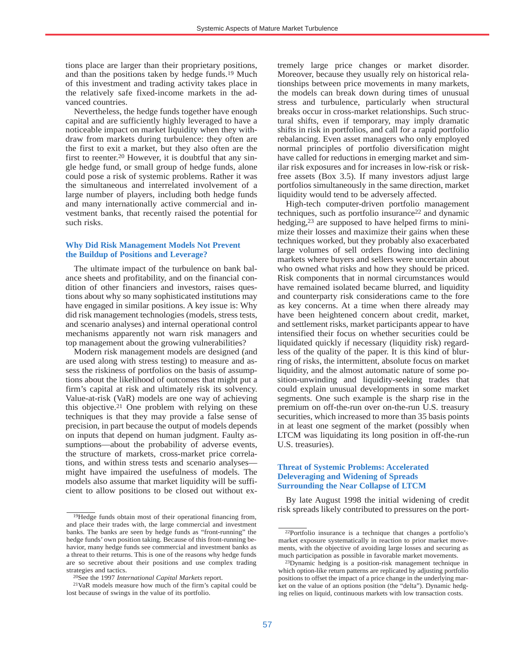tions place are larger than their proprietary positions, and than the positions taken by hedge funds.19 Much of this investment and trading activity takes place in the relatively safe fixed-income markets in the advanced countries.

Nevertheless, the hedge funds together have enough capital and are sufficiently highly leveraged to have a noticeable impact on market liquidity when they withdraw from markets during turbulence: they often are the first to exit a market, but they also often are the first to reenter. <sup>20</sup> However, it is doubtful that any single hedge fund, or small group of hedge funds, alone could pose a risk of systemic problems. Rather it was the simultaneous and interrelated involvement of a large number of players, including both hedge funds and many internationally active commercial and investment banks, that recently raised the potential for such risks.

#### **Why Did Risk Management Models Not Prevent the Buildup of Positions and Leverage?**

The ultimate impact of the turbulence on bank balance sheets and profitability, and on the financial condition of other financiers and investors, raises questions about why so many sophisticated institutions may have engaged in similar positions. A key issue is: Why did risk management technologies (models, stress tests, and scenario analyses) and internal operational control mechanisms apparently not warn risk managers and top management about the growing vulnerabilities?

Modern risk management models are designed (and are used along with stress testing) to measure and assess the riskiness of portfolios on the basis of assumptions about the likelihood of outcomes that might put a firm's capital at risk and ultimately risk its solvency. Value-at-risk (VaR) models are one way of achieving this objective.21 One problem with relying on these techniques is that they may provide a false sense of precision, in part because the output of models depends on inputs that depend on human judgment. Faulty assumptions—about the probability of adverse events, the structure of markets, cross-market price correlations, and within stress tests and scenario analyses might have impaired the usefulness of models. The models also assume that market liquidity will be sufficient to allow positions to be closed out without extremely large price changes or market disorder. Moreover, because they usually rely on historical relationships between price movements in many markets, the models can break down during times of unusual stress and turbulence, particularly when structural breaks occur in cross-market relationships. Such structural shifts, even if temporary, may imply dramatic shifts in risk in portfolios, and call for a rapid portfolio rebalancing. Even asset managers who only employed normal principles of portfolio diversification might have called for reductions in emerging market and similar risk exposures and for increases in low-risk or riskfree assets (Box 3.5). If many investors adjust large portfolios simultaneously in the same direction, market liquidity would tend to be adversely affected.

High-tech computer-driven portfolio management techniques, such as portfolio insurance<sup>22</sup> and dynamic hedging,23 are supposed to have helped firms to minimize their losses and maximize their gains when these techniques worked, but they probably also exacerbated large volumes of sell orders flowing into declining markets where buyers and sellers were uncertain about who owned what risks and how they should be priced. Risk components that in normal circumstances would have remained isolated became blurred, and liquidity and counterparty risk considerations came to the fore as key concerns. At a time when there already may have been heightened concern about credit, market, and settlement risks, market participants appear to have intensified their focus on whether securities could be liquidated quickly if necessary (liquidity risk) regardless of the quality of the paper. It is this kind of blurring of risks, the intermittent, absolute focus on market liquidity, and the almost automatic nature of some position-unwinding and liquidity-seeking trades that could explain unusual developments in some market segments. One such example is the sharp rise in the premium on off-the-run over on-the-run U.S. treasury securities, which increased to more than 35 basis points in at least one segment of the market (possibly when LTCM was liquidating its long position in off-the-run U.S. treasuries).

#### **Threat of Systemic Problems: Accelerated Deleveraging and Widening of Spreads Surrounding the Near Collapse of LTCM**

By late August 1998 the initial widening of credit risk spreads likely contributed to pressures on the port-

<sup>19</sup>Hedge funds obtain most of their operational financing from, and place their trades with, the large commercial and investment banks. The banks are seen by hedge funds as "front-running" the hedge funds' own position taking. Because of this front-running behavior, many hedge funds see commercial and investment banks as a threat to their returns. This is one of the reasons why hedge funds are so secretive about their positions and use complex trading strategies and tactics. 20See the 1997 *International Capital Markets* report.

<sup>21</sup>VaR models measure how much of the firm's capital could be lost because of swings in the value of its portfolio.

<sup>22</sup>Portfolio insurance is a technique that changes a portfolio's market exposure systematically in reaction to prior market movements, with the objective of avoiding large losses and securing as much participation as possible in favorable market movements.

<sup>23</sup>Dynamic hedging is a position-risk management technique in which option-like return patterns are replicated by adjusting portfolio positions to offset the impact of a price change in the underlying market on the value of an options position (the "delta"). Dynamic hedging relies on liquid, continuous markets with low transaction costs.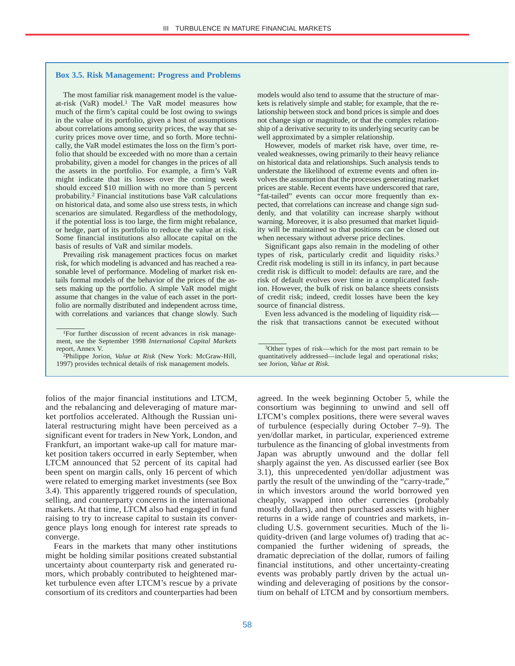#### **Box 3.5. Risk Management: Progress and Problems**

The most familiar risk management model is the valueat-risk (VaR) model.1 The VaR model measures how much of the firm's capital could be lost owing to swings in the value of its portfolio, given a host of assumptions about correlations among security prices, the way that security prices move over time, and so forth. More technically, the VaR model estimates the loss on the firm's portfolio that should be exceeded with no more than a certain probability, given a model for changes in the prices of all the assets in the portfolio. For example, a firm's VaR might indicate that its losses over the coming week should exceed \$10 million with no more than 5 percent probability. <sup>2</sup> Financial institutions base VaR calculations on historical data, and some also use stress tests, in which scenarios are simulated. Regardless of the methodology, if the potential loss is too large, the firm might rebalance, or hedge, part of its portfolio to reduce the value at risk. Some financial institutions also allocate capital on the basis of results of VaR and similar models.

Prevailing risk management practices focus on market risk, for which modeling is advanced and has reached a reasonable level of performance. Modeling of market risk entails formal models of the behavior of the prices of the assets making up the portfolio. A simple VaR model might assume that changes in the value of each asset in the portfolio are normally distributed and independent across time, with correlations and variances that change slowly. Such

2Philippe Jorion, *Value at Risk* (New York: McGraw-Hill, 1997) provides technical details of risk management models.

folios of the major financial institutions and LTCM, and the rebalancing and deleveraging of mature market portfolios accelerated. Although the Russian unilateral restructuring might have been perceived as a significant event for traders in New York, London, and Frankfurt, an important wake-up call for mature market position takers occurred in early September, when LTCM announced that 52 percent of its capital had been spent on margin calls, only 16 percent of which were related to emerging market investments (see Box 3.4). This apparently triggered rounds of speculation, selling, and counterparty concerns in the international markets. At that time, LTCM also had engaged in fund raising to try to increase capital to sustain its convergence plays long enough for interest rate spreads to converge.

Fears in the markets that many other institutions might be holding similar positions created substantial uncertainty about counterparty risk and generated rumors, which probably contributed to heightened market turbulence even after LTCM's rescue by a private consortium of its creditors and counterparties had been

models would also tend to assume that the structure of markets is relatively simple and stable; for example, that the relationship between stock and bond prices is simple and does not change sign or magnitude, or that the complex relationship of a derivative security to its underlying security can be well approximated by a simpler relationship.

However, models of market risk have, over time, revealed weaknesses, owing primarily to their heavy reliance on historical data and relationships. Such analysis tends to understate the likelihood of extreme events and often involves the assumption that the processes generating market prices are stable. Recent events have underscored that rare, "fat-tailed" events can occur more frequently than expected, that correlations can increase and change sign suddenly, and that volatility can increase sharply without warning. Moreover, it is also presumed that market liquidity will be maintained so that positions can be closed out when necessary without adverse price declines.

Significant gaps also remain in the modeling of other types of risk, particularly credit and liquidity risks.3 Credit risk modeling is still in its infancy, in part because credit risk is difficult to model: defaults are rare, and the risk of default evolves over time in a complicated fashion. However, the bulk of risk on balance sheets consists of credit risk; indeed, credit losses have been the key source of financial distress.

Even less advanced is the modeling of liquidity risk the risk that transactions cannot be executed without

agreed. In the week beginning October 5, while the consortium was beginning to unwind and sell off LTCM's complex positions, there were several waves of turbulence (especially during October 7–9). The yen/dollar market, in particular, experienced extreme turbulence as the financing of global investments from Japan was abruptly unwound and the dollar fell sharply against the yen. As discussed earlier (see Box 3.1), this unprecedented yen/dollar adjustment was partly the result of the unwinding of the "carry-trade," in which investors around the world borrowed yen cheaply, swapped into other currencies (probably mostly dollars), and then purchased assets with higher returns in a wide range of countries and markets, including U.S. government securities. Much of the liquidity-driven (and large volumes of) trading that accompanied the further widening of spreads, the dramatic depreciation of the dollar, rumors of failing financial institutions, and other uncertainty-creating events was probably partly driven by the actual unwinding and deleveraging of positions by the consortium on behalf of LTCM and by consortium members.

<sup>1</sup>For further discussion of recent advances in risk management, see the September 1998 *International Capital Markets* report, Annex V.

<sup>3</sup>Other types of risk—which for the most part remain to be quantitatively addressed—include legal and operational risks; see Jorion, *Value at Risk*.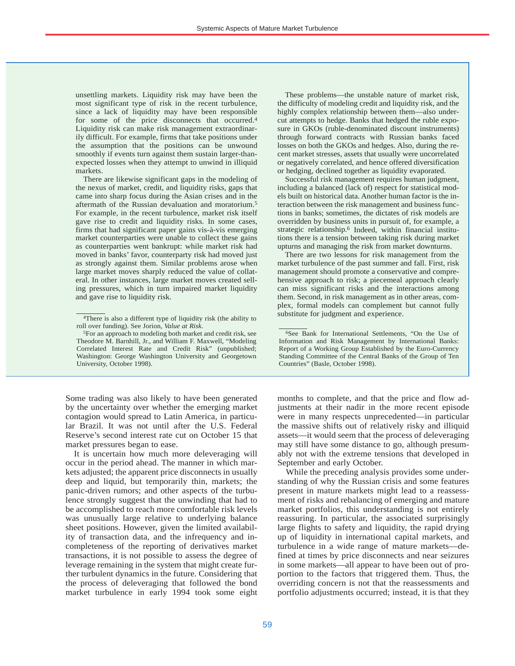unsettling markets. Liquidity risk may have been the most significant type of risk in the recent turbulence, since a lack of liquidity may have been responsible for some of the price disconnects that occurred.4 Liquidity risk can make risk management extraordinarily difficult. For example, firms that take positions under the assumption that the positions can be unwound smoothly if events turn against them sustain larger-thanexpected losses when they attempt to unwind in illiquid markets.

There are likewise significant gaps in the modeling of the nexus of market, credit, and liquidity risks, gaps that came into sharp focus during the Asian crises and in the aftermath of the Russian devaluation and moratorium.5 For example, in the recent turbulence, market risk itself gave rise to credit and liquidity risks. In some cases, firms that had significant paper gains vis-à-vis emerging market counterparties were unable to collect these gains as counterparties went bankrupt: while market risk had moved in banks' favor, counterparty risk had moved just as strongly against them. Similar problems arose when large market moves sharply reduced the value of collateral. In other instances, large market moves created selling pressures, which in turn impaired market liquidity and gave rise to liquidity risk.

Some trading was also likely to have been generated by the uncertainty over whether the emerging market contagion would spread to Latin America, in particular Brazil. It was not until after the U.S. Federal Reserve's second interest rate cut on October 15 that market pressures began to ease.

It is uncertain how much more deleveraging will occur in the period ahead. The manner in which markets adjusted; the apparent price disconnects in usually deep and liquid, but temporarily thin, markets; the panic-driven rumors; and other aspects of the turbulence strongly suggest that the unwinding that had to be accomplished to reach more comfortable risk levels was unusually large relative to underlying balance sheet positions. However, given the limited availability of transaction data, and the infrequency and incompleteness of the reporting of derivatives market transactions, it is not possible to assess the degree of leverage remaining in the system that might create further turbulent dynamics in the future. Considering that the process of deleveraging that followed the bond market turbulence in early 1994 took some eight

These problems—the unstable nature of market risk, the difficulty of modeling credit and liquidity risk, and the highly complex relationship between them—also undercut attempts to hedge. Banks that hedged the ruble exposure in GKOs (ruble-denominated discount instruments) through forward contracts with Russian banks faced losses on both the GKOs and hedges. Also, during the recent market stresses, assets that usually were uncorrelated or negatively correlated, and hence offered diversification or hedging, declined together as liquidity evaporated.

Successful risk management requires human judgment, including a balanced (lack of) respect for statistical models built on historical data. Another human factor is the interaction between the risk management and business functions in banks; sometimes, the dictates of risk models are overridden by business units in pursuit of, for example, a strategic relationship.6 Indeed, within financial institutions there is a tension between taking risk during market upturns and managing the risk from market downturns.

There are two lessons for risk management from the market turbulence of the past summer and fall. First, risk management should promote a conservative and comprehensive approach to risk; a piecemeal approach clearly can miss significant risks and the interactions among them. Second, in risk management as in other areas, complex, formal models can complement but cannot fully

months to complete, and that the price and flow adjustments at their nadir in the more recent episode were in many respects unprecedented—in particular the massive shifts out of relatively risky and illiquid assets—it would seem that the process of deleveraging may still have some distance to go, although presumably not with the extreme tensions that developed in September and early October.

While the preceding analysis provides some understanding of why the Russian crisis and some features present in mature markets might lead to a reassessment of risks and rebalancing of emerging and mature market portfolios, this understanding is not entirely reassuring. In particular, the associated surprisingly large flights to safety and liquidity, the rapid drying up of liquidity in international capital markets, and turbulence in a wide range of mature markets—defined at times by price disconnects and near seizures in some markets—all appear to have been out of proportion to the factors that triggered them. Thus, the overriding concern is not that the reassessments and portfolio adjustments occurred; instead, it is that they

<sup>&</sup>lt;sup>4</sup>There is also a different type of liquidity risk (the ability to substitute for judgment and experience. roll over funding). See Jorion, *Value at Risk*.

<sup>&</sup>lt;sup>5</sup>For an approach to modeling both market and credit risk, see Theodore M. Barnhill, Jr., and William F. Maxwell, "Modeling Correlated Interest Rate and Credit Risk" (unpublished; Washington: George Washington University and Georgetown University, October 1998).

<sup>6</sup>See Bank for International Settlements, "On the Use of Information and Risk Management by International Banks: Report of a Working Group Established by the Euro-Currency Standing Committee of the Central Banks of the Group of Ten Countries" (Basle, October 1998).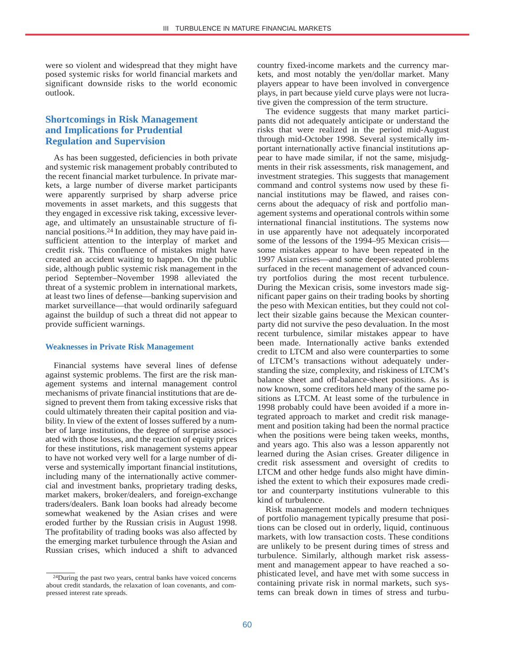were so violent and widespread that they might have posed systemic risks for world financial markets and significant downside risks to the world economic outlook.

# **Shortcomings in Risk Management and Implications for Prudential Regulation and Supervision**

As has been suggested, deficiencies in both private and systemic risk management probably contributed to the recent financial market turbulence. In private markets, a large number of diverse market participants were apparently surprised by sharp adverse price movements in asset markets, and this suggests that they engaged in excessive risk taking, excessive leverage, and ultimately an unsustainable structure of financial positions.24 In addition, they may have paid insufficient attention to the interplay of market and credit risk. This confluence of mistakes might have created an accident waiting to happen. On the public side, although public systemic risk management in the period September–November 1998 alleviated the threat of a systemic problem in international markets, at least two lines of defense—banking supervision and market surveillance—that would ordinarily safeguard against the buildup of such a threat did not appear to provide sufficient warnings.

#### **Weaknesses in Private Risk Management**

Financial systems have several lines of defense against systemic problems. The first are the risk management systems and internal management control mechanisms of private financial institutions that are designed to prevent them from taking excessive risks that could ultimately threaten their capital position and viability. In view of the extent of losses suffered by a number of large institutions, the degree of surprise associated with those losses, and the reaction of equity prices for these institutions, risk management systems appear to have not worked very well for a large number of diverse and systemically important financial institutions, including many of the internationally active commercial and investment banks, proprietary trading desks, market makers, broker/dealers, and foreign-exchange traders/dealers. Bank loan books had already become somewhat weakened by the Asian crises and were eroded further by the Russian crisis in August 1998. The profitability of trading books was also affected by the emerging market turbulence through the Asian and Russian crises, which induced a shift to advanced country fixed-income markets and the currency markets, and most notably the yen/dollar market. Many players appear to have been involved in convergence plays, in part because yield curve plays were not lucrative given the compression of the term structure.

The evidence suggests that many market participants did not adequately anticipate or understand the risks that were realized in the period mid-August through mid-October 1998. Several systemically important internationally active financial institutions appear to have made similar, if not the same, misjudgments in their risk assessments, risk management, and investment strategies. This suggests that management command and control systems now used by these financial institutions may be flawed, and raises concerns about the adequacy of risk and portfolio management systems and operational controls within some international financial institutions. The systems now in use apparently have not adequately incorporated some of the lessons of the 1994–95 Mexican crisis some mistakes appear to have been repeated in the 1997 Asian crises—and some deeper-seated problems surfaced in the recent management of advanced country portfolios during the most recent turbulence. During the Mexican crisis, some investors made significant paper gains on their trading books by shorting the peso with Mexican entities, but they could not collect their sizable gains because the Mexican counterparty did not survive the peso devaluation. In the most recent turbulence, similar mistakes appear to have been made. Internationally active banks extended credit to LTCM and also were counterparties to some of LTCM's transactions without adequately understanding the size, complexity, and riskiness of LTCM's balance sheet and off-balance-sheet positions. As is now known, some creditors held many of the same positions as LTCM. At least some of the turbulence in 1998 probably could have been avoided if a more integrated approach to market and credit risk management and position taking had been the normal practice when the positions were being taken weeks, months, and years ago. This also was a lesson apparently not learned during the Asian crises. Greater diligence in credit risk assessment and oversight of credits to LTCM and other hedge funds also might have diminished the extent to which their exposures made creditor and counterparty institutions vulnerable to this kind of turbulence.

Risk management models and modern techniques of portfolio management typically presume that positions can be closed out in orderly, liquid, continuous markets, with low transaction costs. These conditions are unlikely to be present during times of stress and turbulence. Similarly, although market risk assessment and management appear to have reached a sophisticated level, and have met with some success in containing private risk in normal markets, such systems can break down in times of stress and turbu-

<sup>24</sup>During the past two years, central banks have voiced concerns about credit standards, the relaxation of loan covenants, and compressed interest rate spreads.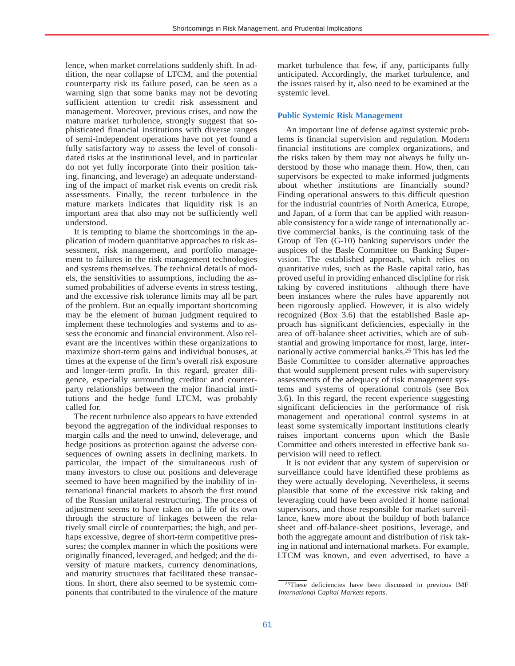lence, when market correlations suddenly shift. In addition, the near collapse of LTCM, and the potential counterparty risk its failure posed, can be seen as a warning sign that some banks may not be devoting sufficient attention to credit risk assessment and management. Moreover, previous crises, and now the mature market turbulence, strongly suggest that sophisticated financial institutions with diverse ranges of semi-independent operations have not yet found a fully satisfactory way to assess the level of consolidated risks at the institutional level, and in particular do not yet fully incorporate (into their position taking, financing, and leverage) an adequate understanding of the impact of market risk events on credit risk assessments. Finally, the recent turbulence in the mature markets indicates that liquidity risk is an important area that also may not be sufficiently well understood.

It is tempting to blame the shortcomings in the application of modern quantitative approaches to risk assessment, risk management, and portfolio management to failures in the risk management technologies and systems themselves. The technical details of models, the sensitivities to assumptions, including the assumed probabilities of adverse events in stress testing, and the excessive risk tolerance limits may all be part of the problem. But an equally important shortcoming may be the element of human judgment required to implement these technologies and systems and to assess the economic and financial environment. Also relevant are the incentives within these organizations to maximize short-term gains and individual bonuses, at times at the expense of the firm's overall risk exposure and longer-term profit. In this regard, greater diligence, especially surrounding creditor and counterparty relationships between the major financial institutions and the hedge fund LTCM, was probably called for.

The recent turbulence also appears to have extended beyond the aggregation of the individual responses to margin calls and the need to unwind, deleverage, and hedge positions as protection against the adverse consequences of owning assets in declining markets. In particular, the impact of the simultaneous rush of many investors to close out positions and deleverage seemed to have been magnified by the inability of international financial markets to absorb the first round of the Russian unilateral restructuring. The process of adjustment seems to have taken on a life of its own through the structure of linkages between the relatively small circle of counterparties; the high, and perhaps excessive, degree of short-term competitive pressures; the complex manner in which the positions were originally financed, leveraged, and hedged; and the diversity of mature markets, currency denominations, and maturity structures that facilitated these transactions. In short, there also seemed to be systemic components that contributed to the virulence of the mature

market turbulence that few, if any, participants fully anticipated. Accordingly, the market turbulence, and the issues raised by it, also need to be examined at the systemic level.

#### **Public Systemic Risk Management**

An important line of defense against systemic problems is financial supervision and regulation. Modern financial institutions are complex organizations, and the risks taken by them may not always be fully understood by those who manage them. How, then, can supervisors be expected to make informed judgments about whether institutions are financially sound? Finding operational answers to this difficult question for the industrial countries of North America, Europe, and Japan, of a form that can be applied with reasonable consistency for a wide range of internationally active commercial banks, is the continuing task of the Group of Ten (G-10) banking supervisors under the auspices of the Basle Committee on Banking Supervision. The established approach, which relies on quantitative rules, such as the Basle capital ratio, has proved useful in providing enhanced discipline for risk taking by covered institutions—although there have been instances where the rules have apparently not been rigorously applied. However, it is also widely recognized (Box 3.6) that the established Basle approach has significant deficiencies, especially in the area of off-balance sheet activities, which are of substantial and growing importance for most, large, internationally active commercial banks.25 This has led the Basle Committee to consider alternative approaches that would supplement present rules with supervisory assessments of the adequacy of risk management systems and systems of operational controls (see Box 3.6). In this regard, the recent experience suggesting significant deficiencies in the performance of risk management and operational control systems in at least some systemically important institutions clearly raises important concerns upon which the Basle Committee and others interested in effective bank supervision will need to reflect.

It is not evident that any system of supervision or surveillance could have identified these problems as they were actually developing. Nevertheless, it seems plausible that some of the excessive risk taking and leveraging could have been avoided if home national supervisors, and those responsible for market surveillance, knew more about the buildup of both balance sheet and off-balance-sheet positions, leverage, and both the aggregate amount and distribution of risk taking in national and international markets. For example, LTCM was known, and even advertised, to have a

<sup>25</sup>These deficiencies have been discussed in previous IMF *International Capital Markets* reports.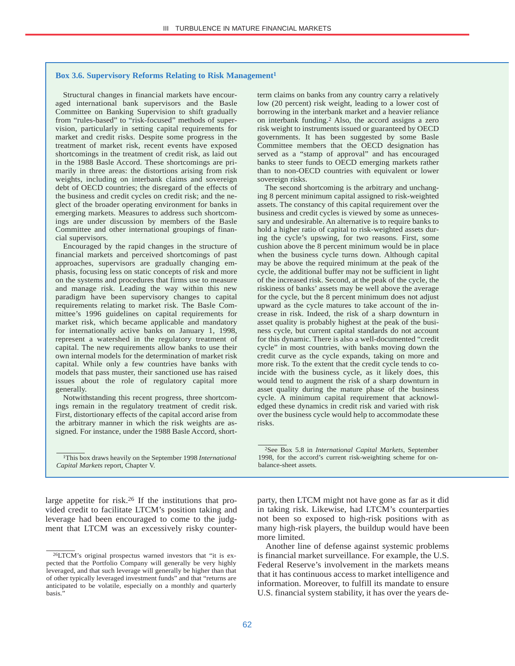#### **Box 3.6. Supervisory Reforms Relating to Risk Management1**

Structural changes in financial markets have encouraged international bank supervisors and the Basle Committee on Banking Supervision to shift gradually from "rules-based" to "risk-focused" methods of supervision, particularly in setting capital requirements for market and credit risks. Despite some progress in the treatment of market risk, recent events have exposed shortcomings in the treatment of credit risk, as laid out in the 1988 Basle Accord. These shortcomings are primarily in three areas: the distortions arising from risk weights, including on interbank claims and sovereign debt of OECD countries; the disregard of the effects of the business and credit cycles on credit risk; and the neglect of the broader operating environment for banks in emerging markets. Measures to address such shortcomings are under discussion by members of the Basle Committee and other international groupings of financial supervisors.

Encouraged by the rapid changes in the structure of financial markets and perceived shortcomings of past approaches, supervisors are gradually changing emphasis, focusing less on static concepts of risk and more on the systems and procedures that firms use to measure and manage risk. Leading the way within this new paradigm have been supervisory changes to capital requirements relating to market risk. The Basle Committee's 1996 guidelines on capital requirements for market risk, which became applicable and mandatory for internationally active banks on January 1, 1998, represent a watershed in the regulatory treatment of capital. The new requirements allow banks to use their own internal models for the determination of market risk capital. While only a few countries have banks with models that pass muster, their sanctioned use has raised issues about the role of regulatory capital more generally.

Notwithstanding this recent progress, three shortcomings remain in the regulatory treatment of credit risk. First, distortionary effects of the capital accord arise from the arbitrary manner in which the risk weights are assigned. For instance, under the 1988 Basle Accord, short-

1This box draws heavily on the September 1998 *International Capital Markets* report, Chapter V.

term claims on banks from any country carry a relatively low (20 percent) risk weight, leading to a lower cost of borrowing in the interbank market and a heavier reliance on interbank funding.2 Also, the accord assigns a zero risk weight to instruments issued or guaranteed by OECD governments. It has been suggested by some Basle Committee members that the OECD designation has served as a "stamp of approval" and has encouraged banks to steer funds to OECD emerging markets rather than to non-OECD countries with equivalent or lower sovereign risks.

The second shortcoming is the arbitrary and unchanging 8 percent minimum capital assigned to risk-weighted assets. The constancy of this capital requirement over the business and credit cycles is viewed by some as unnecessary and undesirable. An alternative is to require banks to hold a higher ratio of capital to risk-weighted assets during the cycle's upswing, for two reasons. First, some cushion above the 8 percent minimum would be in place when the business cycle turns down. Although capital may be above the required minimum at the peak of the cycle, the additional buffer may not be sufficient in light of the increased risk. Second, at the peak of the cycle, the riskiness of banks' assets may be well above the average for the cycle, but the 8 percent minimum does not adjust upward as the cycle matures to take account of the increase in risk. Indeed, the risk of a sharp downturn in asset quality is probably highest at the peak of the business cycle, but current capital standards do not account for this dynamic. There is also a well-documented "credit cycle" in most countries, with banks moving down the credit curve as the cycle expands, taking on more and more risk. To the extent that the credit cycle tends to coincide with the business cycle, as it likely does, this would tend to augment the risk of a sharp downturn in asset quality during the mature phase of the business cycle. A minimum capital requirement that acknowledged these dynamics in credit risk and varied with risk over the business cycle would help to accommodate these risks.

2See Box 5.8 in *International Capital Markets*, September 1998, for the accord's current risk-weighting scheme for onbalance-sheet assets.

large appetite for risk.26 If the institutions that provided credit to facilitate LTCM's position taking and leverage had been encouraged to come to the judgment that LTCM was an excessively risky counterparty, then LTCM might not have gone as far as it did in taking risk. Likewise, had LTCM's counterparties not been so exposed to high-risk positions with as many high-risk players, the buildup would have been more limited.

Another line of defense against systemic problems is financial market surveillance. For example, the U.S. Federal Reserve's involvement in the markets means that it has continuous access to market intelligence and information. Moreover, to fulfill its mandate to ensure U.S. financial system stability, it has over the years de-

<sup>26</sup>LTCM's original prospectus warned investors that "it is expected that the Portfolio Company will generally be very highly leveraged, and that such leverage will generally be higher than that of other typically leveraged investment funds" and that "returns are anticipated to be volatile, especially on a monthly and quarterly basis."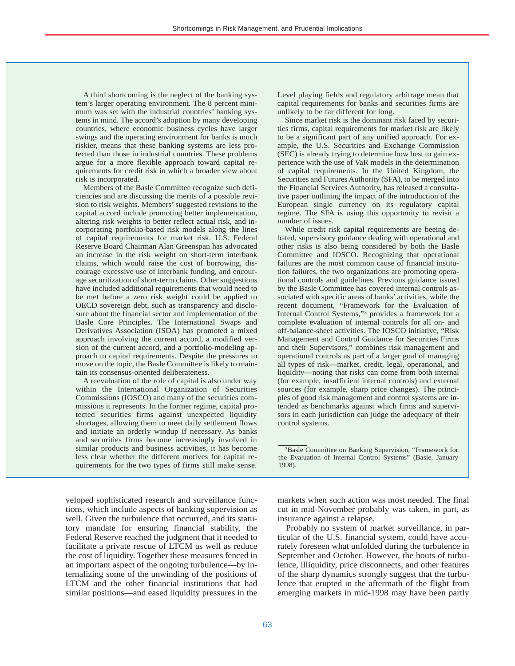A third shortcoming is the neglect of the banking system's larger operating environment. The 8 percent minimum was set with the industrial countries' banking systems in mind. The accord's adoption by many developing countries, where economic business cycles have larger swings and the operating environment for banks is much riskier, means that these banking systems are less protected than those in industrial countries. These problems argue for a more flexible approach toward capital requirements for credit risk in which a broader view about risk is incorporated.

Members of the Basle Committee recognize such deficiencies and are discussing the merits of a possible revision to risk weights. Members'suggested revisions to the capital accord include promoting better implementation, altering risk weights to better reflect actual risk, and incorporating portfolio-based risk models along the lines of capital requirements for market risk. U.S. Federal Reserve Board Chairman Alan Greenspan has advocated an increase in the risk weight on short-term interbank claims, which would raise the cost of borrowing, discourage excessive use of interbank funding, and encourage securitization of short-term claims. Other suggestions have included additional requirements that would need to be met before a zero risk weight could be applied to OECD sovereign debt, such as transparency and disclosure about the financial sector and implementation of the Basle Core Principles. The International Swaps and Derivatives Association (ISDA) has promoted a mixed approach involving the current accord, a modified version of the current accord, and a portfolio-modeling approach to capital requirements. Despite the pressures to move on the topic, the Basle Committee is likely to maintain its consensus-oriented deliberateness.

A reevaluation of the role of capital is also under way within the International Organization of Securities Commissions (IOSCO) and many of the securities commissions it represents. In the former regime, capital protected securities firms against unexpected liquidity shortages, allowing them to meet daily settlement flows and initiate an orderly windup if necessary. As banks and securities firms become increasingly involved in similar products and business activities, it has become less clear whether the different motives for capital requirements for the two types of firms still make sense. Level playing fields and regulatory arbitrage mean that capital requirements for banks and securities firms are unlikely to be far different for long.

Since market risk is the dominant risk faced by securities firms, capital requirements for market risk are likely to be a significant part of any unified approach. For example, the U.S. Securities and Exchange Commission (SEC) is already trying to determine how best to gain experience with the use of VaR models in the determination of capital requirements. In the United Kingdom, the Securities and Futures Authority (SFA), to be merged into the Financial Services Authority, has released a consultative paper outlining the impact of the introduction of the European single currency on its regulatory capital regime. The SFA is using this opportunity to revisit a number of issues.

While credit risk capital requirements are beeing debated, supervisory guidance dealing with operational and other risks is also being considered by both the Basle Committee and IOSCO. Recognizing that operational failures are the most common cause of financial institution failures, the two organizations are promoting operational controls and guidelines. Previous guidance issued by the Basle Committee has covered internal controls associated with specific areas of banks' activities, while the recent document, "Framework for the Evaluation of Internal Control Systems,"3 provides a framework for a complete evaluation of internal controls for all on- and off-balance-sheet activities. The IOSCO initiative, "Risk Management and Control Guidance for Securities Firms and their Supervisors," combines risk management and operational controls as part of a larger goal of managing all types of risk—market, credit, legal, operational, and liquidity—noting that risks can come from both internal (for example, insufficient internal controls) and external sources (for example, sharp price changes). The principles of good risk management and control systems are intended as benchmarks against which firms and supervisors in each jurisdiction can judge the adequacy of their control systems.

3Basle Committee on Banking Supervision, "Framework for the Evaluation of Internal Control Systems" (Basle, January 1998).

veloped sophisticated research and surveillance functions, which include aspects of banking supervision as well. Given the turbulence that occurred, and its statutory mandate for ensuring financial stability, the Federal Reserve reached the judgment that it needed to facilitate a private rescue of LTCM as well as reduce the cost of liquidity. Together these measures fenced in an important aspect of the ongoing turbulence—by internalizing some of the unwinding of the positions of LTCM and the other financial institutions that had similar positions—and eased liquidity pressures in the markets when such action was most needed. The final cut in mid-November probably was taken, in part, as insurance against a relapse.

Probably no system of market surveillance, in particular of the U.S. financial system, could have accurately foreseen what unfolded during the turbulence in September and October. However, the bouts of turbulence, illiquidity, price disconnects, and other features of the sharp dynamics strongly suggest that the turbulence that erupted in the aftermath of the flight from emerging markets in mid-1998 may have been partly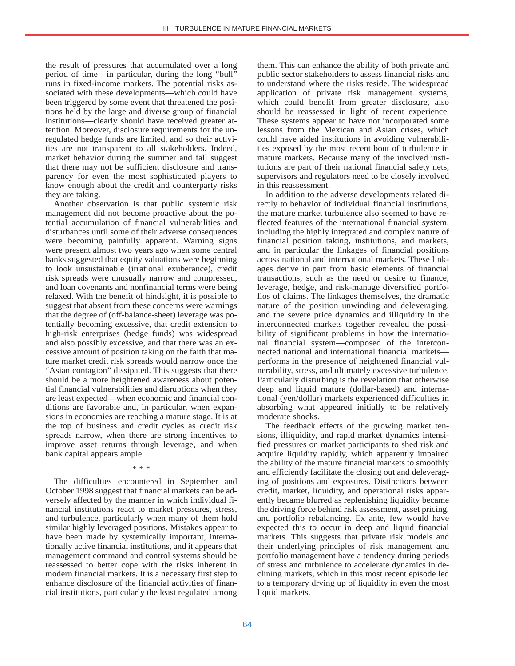the result of pressures that accumulated over a long period of time—in particular, during the long "bull" runs in fixed-income markets. The potential risks associated with these developments—which could have been triggered by some event that threatened the positions held by the large and diverse group of financial institutions—clearly should have received greater attention. Moreover, disclosure requirements for the unregulated hedge funds are limited, and so their activities are not transparent to all stakeholders. Indeed, market behavior during the summer and fall suggest that there may not be sufficient disclosure and transparency for even the most sophisticated players to know enough about the credit and counterparty risks they are taking.

Another observation is that public systemic risk management did not become proactive about the potential accumulation of financial vulnerabilities and disturbances until some of their adverse consequences were becoming painfully apparent. Warning signs were present almost two years ago when some central banks suggested that equity valuations were beginning to look unsustainable (irrational exuberance), credit risk spreads were unusually narrow and compressed, and loan covenants and nonfinancial terms were being relaxed. With the benefit of hindsight, it is possible to suggest that absent from these concerns were warnings that the degree of (off-balance-sheet) leverage was potentially becoming excessive, that credit extension to high-risk enterprises (hedge funds) was widespread and also possibly excessive, and that there was an excessive amount of position taking on the faith that mature market credit risk spreads would narrow once the "Asian contagion" dissipated. This suggests that there should be a more heightened awareness about potential financial vulnerabilities and disruptions when they are least expected—when economic and financial conditions are favorable and, in particular, when expansions in economies are reaching a mature stage. It is at the top of business and credit cycles as credit risk spreads narrow, when there are strong incentives to improve asset returns through leverage, and when bank capital appears ample.

The difficulties encountered in September and October 1998 suggest that financial markets can be adversely affected by the manner in which individual financial institutions react to market pressures, stress, and turbulence, particularly when many of them hold similar highly leveraged positions. Mistakes appear to have been made by systemically important, internationally active financial institutions, and it appears that management command and control systems should be reassessed to better cope with the risks inherent in modern financial markets. It is a necessary first step to enhance disclosure of the financial activities of financial institutions, particularly the least regulated among

\* \* \*

them. This can enhance the ability of both private and public sector stakeholders to assess financial risks and to understand where the risks reside. The widespread application of private risk management systems, which could benefit from greater disclosure, also should be reassessed in light of recent experience. These systems appear to have not incorporated some lessons from the Mexican and Asian crises, which could have aided institutions in avoiding vulnerabilities exposed by the most recent bout of turbulence in mature markets. Because many of the involved institutions are part of their national financial safety nets, supervisors and regulators need to be closely involved in this reassessment.

In addition to the adverse developments related directly to behavior of individual financial institutions, the mature market turbulence also seemed to have reflected features of the international financial system, including the highly integrated and complex nature of financial position taking, institutions, and markets, and in particular the linkages of financial positions across national and international markets. These linkages derive in part from basic elements of financial transactions, such as the need or desire to finance, leverage, hedge, and risk-manage diversified portfolios of claims. The linkages themselves, the dramatic nature of the position unwinding and deleveraging, and the severe price dynamics and illiquidity in the interconnected markets together revealed the possibility of significant problems in how the international financial system—composed of the interconnected national and international financial markets performs in the presence of heightened financial vulnerability, stress, and ultimately excessive turbulence. Particularly disturbing is the revelation that otherwise deep and liquid mature (dollar-based) and international (yen/dollar) markets experienced difficulties in absorbing what appeared initially to be relatively moderate shocks.

The feedback effects of the growing market tensions, illiquidity, and rapid market dynamics intensified pressures on market participants to shed risk and acquire liquidity rapidly, which apparently impaired the ability of the mature financial markets to smoothly and efficiently facilitate the closing out and deleveraging of positions and exposures. Distinctions between credit, market, liquidity, and operational risks apparently became blurred as replenishing liquidity became the driving force behind risk assessment, asset pricing, and portfolio rebalancing. Ex ante, few would have expected this to occur in deep and liquid financial markets. This suggests that private risk models and their underlying principles of risk management and portfolio management have a tendency during periods of stress and turbulence to accelerate dynamics in declining markets, which in this most recent episode led to a temporary drying up of liquidity in even the most liquid markets.